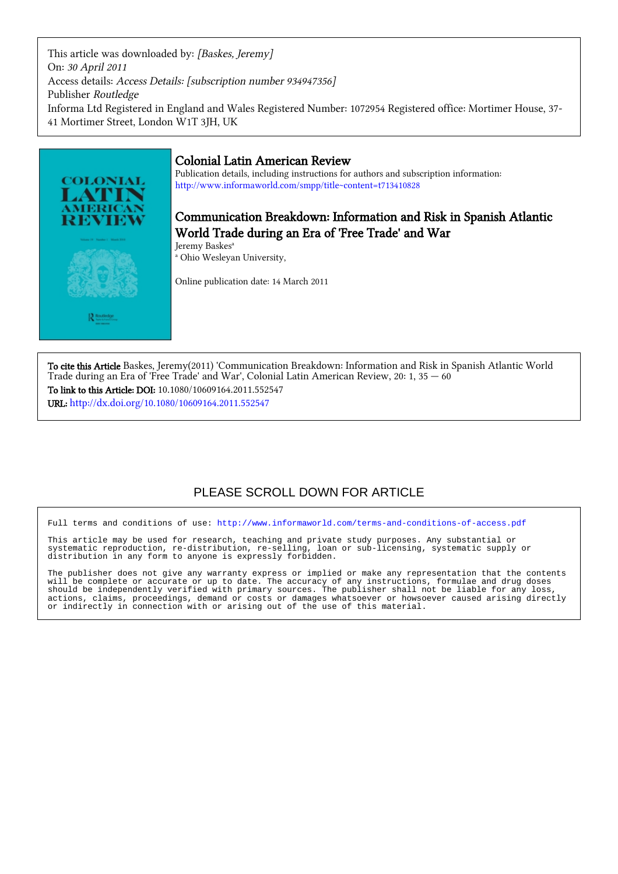This article was downloaded by: [Baskes, Jeremy] On: 30 April 2011 Access details: Access Details: [subscription number 934947356] Publisher Routledge Informa Ltd Registered in England and Wales Registered Number: 1072954 Registered office: Mortimer House, 37- 41 Mortimer Street, London W1T 3JH, UK



### Colonial Latin American Review

Publication details, including instructions for authors and subscription information: <http://www.informaworld.com/smpp/title~content=t713410828>

Communication Breakdown: Information and Risk in Spanish Atlantic World Trade during an Era of 'Free Trade' and War

Jeremy Baskes<sup>a</sup> a Ohio Wesleyan University,

Online publication date: 14 March 2011

To cite this Article Baskes, Jeremy(2011) 'Communication Breakdown: Information and Risk in Spanish Atlantic World Trade during an Era of 'Free Trade' and War', Colonial Latin American Review, 20: 1, 35 — 60 To link to this Article: DOI: 10.1080/10609164.2011.552547 URL: <http://dx.doi.org/10.1080/10609164.2011.552547>

## PLEASE SCROLL DOWN FOR ARTICLE

Full terms and conditions of use:<http://www.informaworld.com/terms-and-conditions-of-access.pdf>

This article may be used for research, teaching and private study purposes. Any substantial or systematic reproduction, re-distribution, re-selling, loan or sub-licensing, systematic supply or distribution in any form to anyone is expressly forbidden.

The publisher does not give any warranty express or implied or make any representation that the contents will be complete or accurate or up to date. The accuracy of any instructions, formulae and drug doses should be independently verified with primary sources. The publisher shall not be liable for any loss, actions, claims, proceedings, demand or costs or damages whatsoever or howsoever caused arising directly or indirectly in connection with or arising out of the use of this material.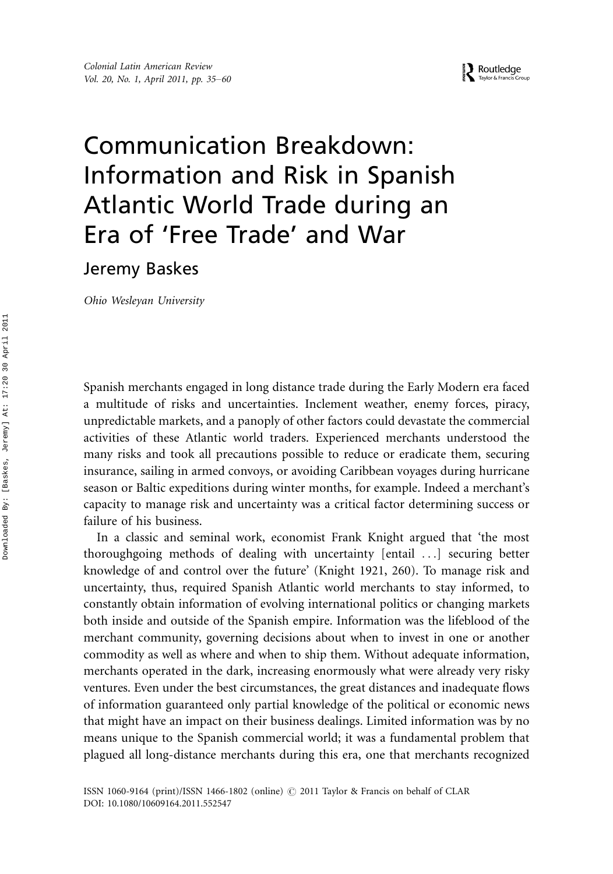# Communication Breakdown: Information and Risk in Spanish Atlantic World Trade during an Era of 'Free Trade' and War

Jeremy Baskes

Ohio Wesleyan University

Spanish merchants engaged in long distance trade during the Early Modern era faced a multitude of risks and uncertainties. Inclement weather, enemy forces, piracy, unpredictable markets, and a panoply of other factors could devastate the commercial activities of these Atlantic world traders. Experienced merchants understood the many risks and took all precautions possible to reduce or eradicate them, securing insurance, sailing in armed convoys, or avoiding Caribbean voyages during hurricane season or Baltic expeditions during winter months, for example. Indeed a merchant's capacity to manage risk and uncertainty was a critical factor determining success or failure of his business.

In a classic and seminal work, economist Frank Knight argued that 'the most thoroughgoing methods of dealing with uncertainty [entail ...] securing better knowledge of and control over the future' (Knight 1921, 260). To manage risk and uncertainty, thus, required Spanish Atlantic world merchants to stay informed, to constantly obtain information of evolving international politics or changing markets both inside and outside of the Spanish empire. Information was the lifeblood of the merchant community, governing decisions about when to invest in one or another commodity as well as where and when to ship them. Without adequate information, merchants operated in the dark, increasing enormously what were already very risky ventures. Even under the best circumstances, the great distances and inadequate flows of information guaranteed only partial knowledge of the political or economic news that might have an impact on their business dealings. Limited information was by no means unique to the Spanish commercial world; it was a fundamental problem that plagued all long-distance merchants during this era, one that merchants recognized

ISSN 1060-9164 (print)/ISSN 1466-1802 (online)  $\odot$  2011 Taylor & Francis on behalf of CLAR DOI: 10.1080/10609164.2011.552547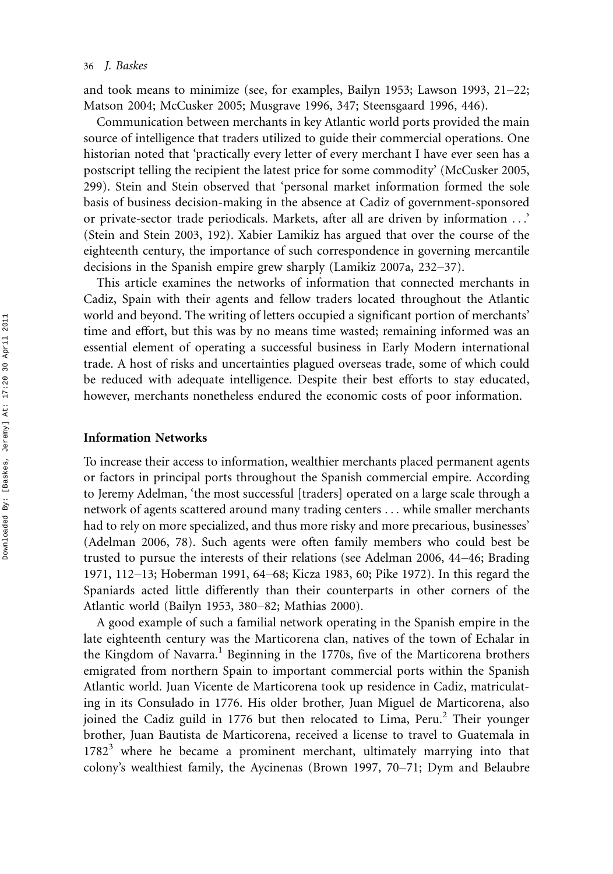and took means to minimize (see, for examples, Bailyn 1953; Lawson 1993,  $21-22$ ; Matson 2004; McCusker 2005; Musgrave 1996, 347; Steensgaard 1996, 446).

Communication between merchants in key Atlantic world ports provided the main source of intelligence that traders utilized to guide their commercial operations. One historian noted that 'practically every letter of every merchant I have ever seen has a postscript telling the recipient the latest price for some commodity' (McCusker 2005, 299). Stein and Stein observed that 'personal market information formed the sole basis of business decision-making in the absence at Cadiz of government-sponsored or private-sector trade periodicals. Markets, after all are driven by information ...' (Stein and Stein 2003, 192). Xabier Lamikiz has argued that over the course of the eighteenth century, the importance of such correspondence in governing mercantile decisions in the Spanish empire grew sharply (Lamikiz 2007a,  $232-37$ ).

This article examines the networks of information that connected merchants in Cadiz, Spain with their agents and fellow traders located throughout the Atlantic world and beyond. The writing of letters occupied a significant portion of merchants' time and effort, but this was by no means time wasted; remaining informed was an essential element of operating a successful business in Early Modern international trade. A host of risks and uncertainties plagued overseas trade, some of which could be reduced with adequate intelligence. Despite their best efforts to stay educated, however, merchants nonetheless endured the economic costs of poor information.

#### Information Networks

To increase their access to information, wealthier merchants placed permanent agents or factors in principal ports throughout the Spanish commercial empire. According to Jeremy Adelman, 'the most successful [traders] operated on a large scale through a network of agents scattered around many trading centers ... while smaller merchants had to rely on more specialized, and thus more risky and more precarious, businesses' (Adelman 2006, 78). Such agents were often family members who could best be trusted to pursue the interests of their relations (see Adelman 2006,  $44-46$ ; Brading 1971, 112–13; Hoberman 1991, 64–68; Kicza 1983, 60; Pike 1972). In this regard the Spaniards acted little differently than their counterparts in other corners of the Atlantic world (Bailyn 1953, 380–82; Mathias 2000).

A good example of such a familial network operating in the Spanish empire in the late eighteenth century was the Marticorena clan, natives of the town of Echalar in the Kingdom of Navarra.<sup>1</sup> Beginning in the 1770s, five of the Marticorena brothers emigrated from northern Spain to important commercial ports within the Spanish Atlantic world. Juan Vicente de Marticorena took up residence in Cadiz, matriculating in its Consulado in 1776. His older brother, Juan Miguel de Marticorena, also joined the Cadiz guild in 1776 but then relocated to Lima, Peru.<sup>2</sup> Their younger brother, Juan Bautista de Marticorena, received a license to travel to Guatemala in 1782<sup>3</sup> where he became a prominent merchant, ultimately marrying into that colony's wealthiest family, the Aycinenas (Brown 1997, 70-71; Dym and Belaubre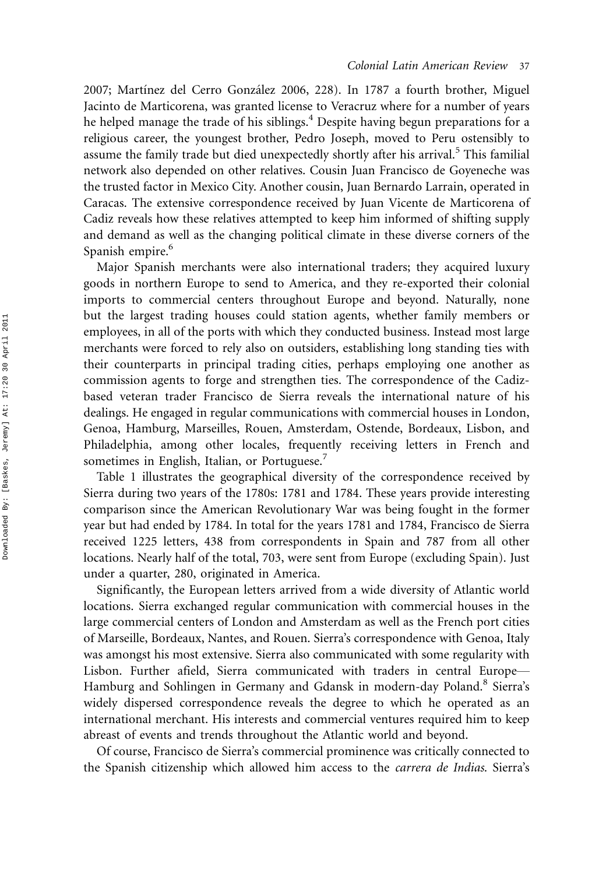2007; Martínez del Cerro González 2006, 228). In 1787 a fourth brother, Miguel Jacinto de Marticorena, was granted license to Veracruz where for a number of years he helped manage the trade of his siblings.<sup>4</sup> Despite having begun preparations for a religious career, the youngest brother, Pedro Joseph, moved to Peru ostensibly to assume the family trade but died unexpectedly shortly after his arrival.<sup>5</sup> This familial network also depended on other relatives. Cousin Juan Francisco de Goyeneche was the trusted factor in Mexico City. Another cousin, Juan Bernardo Larrain, operated in Caracas. The extensive correspondence received by Juan Vicente de Marticorena of Cadiz reveals how these relatives attempted to keep him informed of shifting supply and demand as well as the changing political climate in these diverse corners of the Spanish empire.<sup>6</sup>

Major Spanish merchants were also international traders; they acquired luxury goods in northern Europe to send to America, and they re-exported their colonial imports to commercial centers throughout Europe and beyond. Naturally, none but the largest trading houses could station agents, whether family members or employees, in all of the ports with which they conducted business. Instead most large merchants were forced to rely also on outsiders, establishing long standing ties with their counterparts in principal trading cities, perhaps employing one another as commission agents to forge and strengthen ties. The correspondence of the Cadizbased veteran trader Francisco de Sierra reveals the international nature of his dealings. He engaged in regular communications with commercial houses in London, Genoa, Hamburg, Marseilles, Rouen, Amsterdam, Ostende, Bordeaux, Lisbon, and Philadelphia, among other locales, frequently receiving letters in French and sometimes in English, Italian, or Portuguese.<sup>7</sup>

Table 1 illustrates the geographical diversity of the correspondence received by Sierra during two years of the 1780s: 1781 and 1784. These years provide interesting comparison since the American Revolutionary War was being fought in the former year but had ended by 1784. In total for the years 1781 and 1784, Francisco de Sierra received 1225 letters, 438 from correspondents in Spain and 787 from all other locations. Nearly half of the total, 703, were sent from Europe (excluding Spain). Just under a quarter, 280, originated in America.

Significantly, the European letters arrived from a wide diversity of Atlantic world locations. Sierra exchanged regular communication with commercial houses in the large commercial centers of London and Amsterdam as well as the French port cities of Marseille, Bordeaux, Nantes, and Rouen. Sierra's correspondence with Genoa, Italy was amongst his most extensive. Sierra also communicated with some regularity with Lisbon. Further afield, Sierra communicated with traders in central Europe— Hamburg and Sohlingen in Germany and Gdansk in modern-day Poland.<sup>8</sup> Sierra's widely dispersed correspondence reveals the degree to which he operated as an international merchant. His interests and commercial ventures required him to keep abreast of events and trends throughout the Atlantic world and beyond.

Of course, Francisco de Sierra's commercial prominence was critically connected to the Spanish citizenship which allowed him access to the carrera de Indias. Sierra's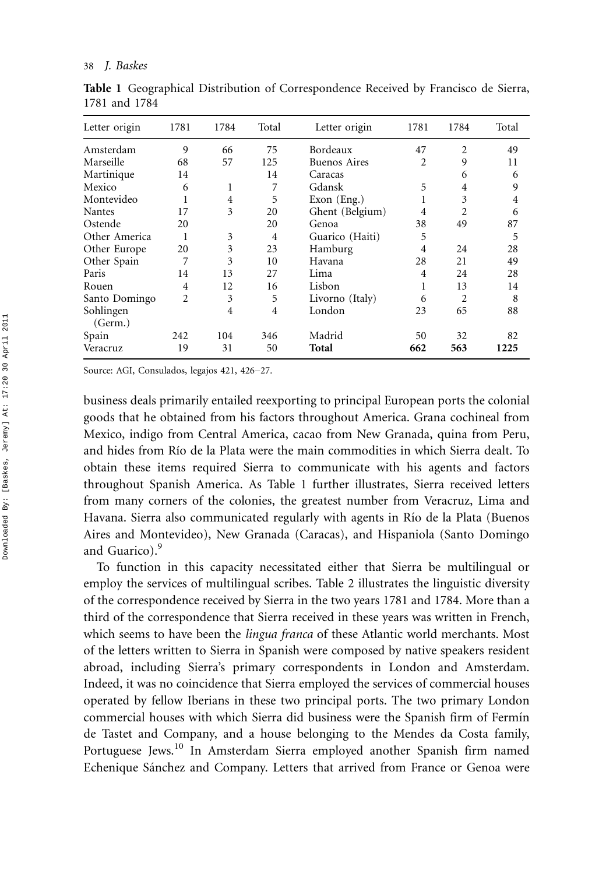| Letter origin        | 1781 | 1784 | Total          | Letter origin       | 1781 | 1784           | Total |
|----------------------|------|------|----------------|---------------------|------|----------------|-------|
| Amsterdam            | 9    | 66   | 75             | Bordeaux            | 47   | $\overline{c}$ | 49    |
| Marseille            | 68   | 57   | 125            | <b>Buenos Aires</b> | 2    | 9              | 11    |
| Martinique           | 14   |      | 14             | Caracas             |      | 6              | 6     |
| Mexico               | 6    | 1    |                | Gdansk              | 5    | 4              | 9     |
| Montevideo           |      | 4    | 5              | Exon $(Eng.)$       |      | 3              | 4     |
| <b>Nantes</b>        | 17   | 3    | 20             | Ghent (Belgium)     | 4    | 2              | 6     |
| Ostende              | 20   |      | 20             | Genoa               | 38   | 49             | 87    |
| Other America        | 1    | 3    | $\overline{4}$ | Guarico (Haiti)     | 5    |                | 5     |
| Other Europe         | 20   | 3    | 23             | Hamburg             | 4    | 24             | 28    |
| Other Spain          | 7    | 3    | 10             | Havana              | 28   | 21             | 49    |
| Paris                | 14   | 13   | 27             | Lima                | 4    | 24             | 28    |
| Rouen                | 4    | 12   | 16             | Lisbon              |      | 13             | 14    |
| Santo Domingo        | 2    | 3    | 5              | Livorno (Italy)     | 6    | $\overline{c}$ | 8     |
| Sohlingen<br>(Germ.) |      | 4    | 4              | London              | 23   | 65             | 88    |
| Spain                | 242  | 104  | 346            | Madrid              | 50   | 32             | 82    |
| Veracruz             | 19   | 31   | 50             | Total               | 662  | 563            | 1225  |

Table 1 Geographical Distribution of Correspondence Received by Francisco de Sierra, 1781 and 1784

Source: AGI, Consulados, legajos 421, 426-27.

business deals primarily entailed reexporting to principal European ports the colonial goods that he obtained from his factors throughout America. Grana cochineal from Mexico, indigo from Central America, cacao from New Granada, quina from Peru, and hides from Río de la Plata were the main commodities in which Sierra dealt. To obtain these items required Sierra to communicate with his agents and factors throughout Spanish America. As Table 1 further illustrates, Sierra received letters from many corners of the colonies, the greatest number from Veracruz, Lima and Havana. Sierra also communicated regularly with agents in Río de la Plata (Buenos Aires and Montevideo), New Granada (Caracas), and Hispaniola (Santo Domingo and Guarico).<sup>9</sup>

To function in this capacity necessitated either that Sierra be multilingual or employ the services of multilingual scribes. Table 2 illustrates the linguistic diversity of the correspondence received by Sierra in the two years 1781 and 1784. More than a third of the correspondence that Sierra received in these years was written in French, which seems to have been the *lingua franca* of these Atlantic world merchants. Most of the letters written to Sierra in Spanish were composed by native speakers resident abroad, including Sierra's primary correspondents in London and Amsterdam. Indeed, it was no coincidence that Sierra employed the services of commercial houses operated by fellow Iberians in these two principal ports. The two primary London commercial houses with which Sierra did business were the Spanish firm of Fermín de Tastet and Company, and a house belonging to the Mendes da Costa family, Portuguese Jews.<sup>10</sup> In Amsterdam Sierra employed another Spanish firm named Echenique Sánchez and Company. Letters that arrived from France or Genoa were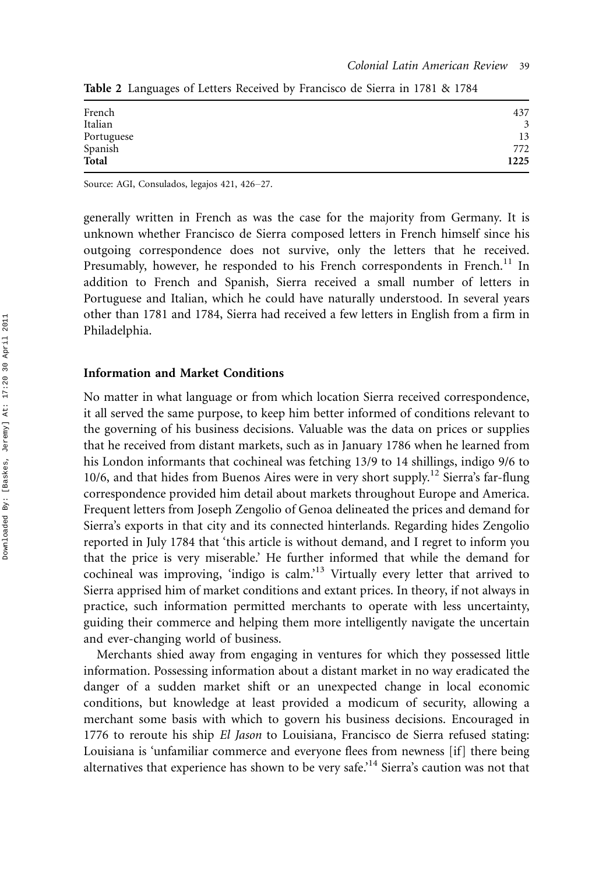| French     | 437  |
|------------|------|
| Italian    | 3    |
| Portuguese | 13   |
| Spanish    | 772  |
| Total      | 1225 |

Table 2 Languages of Letters Received by Francisco de Sierra in 1781 & 1784

Source: AGI, Consulados, legajos 421, 426-27.

generally written in French as was the case for the majority from Germany. It is unknown whether Francisco de Sierra composed letters in French himself since his outgoing correspondence does not survive, only the letters that he received. Presumably, however, he responded to his French correspondents in French.<sup>11</sup> In addition to French and Spanish, Sierra received a small number of letters in Portuguese and Italian, which he could have naturally understood. In several years other than 1781 and 1784, Sierra had received a few letters in English from a firm in Philadelphia.

#### Information and Market Conditions

No matter in what language or from which location Sierra received correspondence, it all served the same purpose, to keep him better informed of conditions relevant to the governing of his business decisions. Valuable was the data on prices or supplies that he received from distant markets, such as in January 1786 when he learned from his London informants that cochineal was fetching 13/9 to 14 shillings, indigo 9/6 to 10/6, and that hides from Buenos Aires were in very short supply.<sup>12</sup> Sierra's far-flung correspondence provided him detail about markets throughout Europe and America. Frequent letters from Joseph Zengolio of Genoa delineated the prices and demand for Sierra's exports in that city and its connected hinterlands. Regarding hides Zengolio reported in July 1784 that 'this article is without demand, and I regret to inform you that the price is very miserable.' He further informed that while the demand for cochineal was improving, 'indigo is calm.'<sup>13</sup> Virtually every letter that arrived to Sierra apprised him of market conditions and extant prices. In theory, if not always in practice, such information permitted merchants to operate with less uncertainty, guiding their commerce and helping them more intelligently navigate the uncertain and ever-changing world of business.

Merchants shied away from engaging in ventures for which they possessed little information. Possessing information about a distant market in no way eradicated the danger of a sudden market shift or an unexpected change in local economic conditions, but knowledge at least provided a modicum of security, allowing a merchant some basis with which to govern his business decisions. Encouraged in 1776 to reroute his ship El Jason to Louisiana, Francisco de Sierra refused stating: Louisiana is 'unfamiliar commerce and everyone flees from newness [if] there being alternatives that experience has shown to be very safe.'<sup>14</sup> Sierra's caution was not that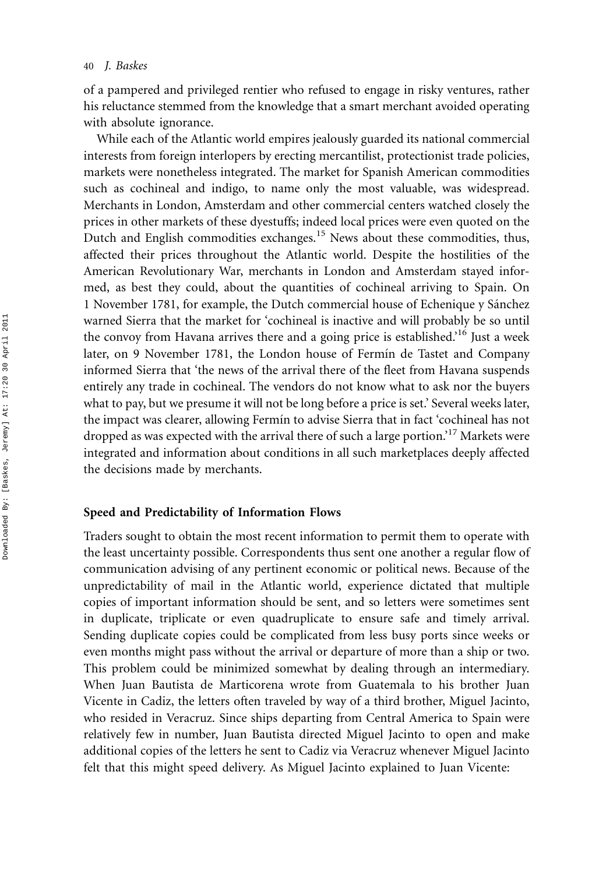#### 40 J. Baskes

of a pampered and privileged rentier who refused to engage in risky ventures, rather his reluctance stemmed from the knowledge that a smart merchant avoided operating with absolute ignorance.

While each of the Atlantic world empires jealously guarded its national commercial interests from foreign interlopers by erecting mercantilist, protectionist trade policies, markets were nonetheless integrated. The market for Spanish American commodities such as cochineal and indigo, to name only the most valuable, was widespread. Merchants in London, Amsterdam and other commercial centers watched closely the prices in other markets of these dyestuffs; indeed local prices were even quoted on the Dutch and English commodities exchanges.<sup>15</sup> News about these commodities, thus, affected their prices throughout the Atlantic world. Despite the hostilities of the American Revolutionary War, merchants in London and Amsterdam stayed informed, as best they could, about the quantities of cochineal arriving to Spain. On 1 November 1781, for example, the Dutch commercial house of Echenique y Sánchez warned Sierra that the market for 'cochineal is inactive and will probably be so until the convoy from Havana arrives there and a going price is established.<sup>216</sup> Just a week later, on 9 November 1781, the London house of Fermín de Tastet and Company informed Sierra that 'the news of the arrival there of the fleet from Havana suspends entirely any trade in cochineal. The vendors do not know what to ask nor the buyers what to pay, but we presume it will not be long before a price is set.' Several weeks later, the impact was clearer, allowing Fermín to advise Sierra that in fact 'cochineal has not dropped as was expected with the arrival there of such a large portion.<sup>17</sup> Markets were integrated and information about conditions in all such marketplaces deeply affected the decisions made by merchants.

#### Speed and Predictability of Information Flows

Traders sought to obtain the most recent information to permit them to operate with the least uncertainty possible. Correspondents thus sent one another a regular flow of communication advising of any pertinent economic or political news. Because of the unpredictability of mail in the Atlantic world, experience dictated that multiple copies of important information should be sent, and so letters were sometimes sent in duplicate, triplicate or even quadruplicate to ensure safe and timely arrival. Sending duplicate copies could be complicated from less busy ports since weeks or even months might pass without the arrival or departure of more than a ship or two. This problem could be minimized somewhat by dealing through an intermediary. When Juan Bautista de Marticorena wrote from Guatemala to his brother Juan Vicente in Cadiz, the letters often traveled by way of a third brother, Miguel Jacinto, who resided in Veracruz. Since ships departing from Central America to Spain were relatively few in number, Juan Bautista directed Miguel Jacinto to open and make additional copies of the letters he sent to Cadiz via Veracruz whenever Miguel Jacinto felt that this might speed delivery. As Miguel Jacinto explained to Juan Vicente: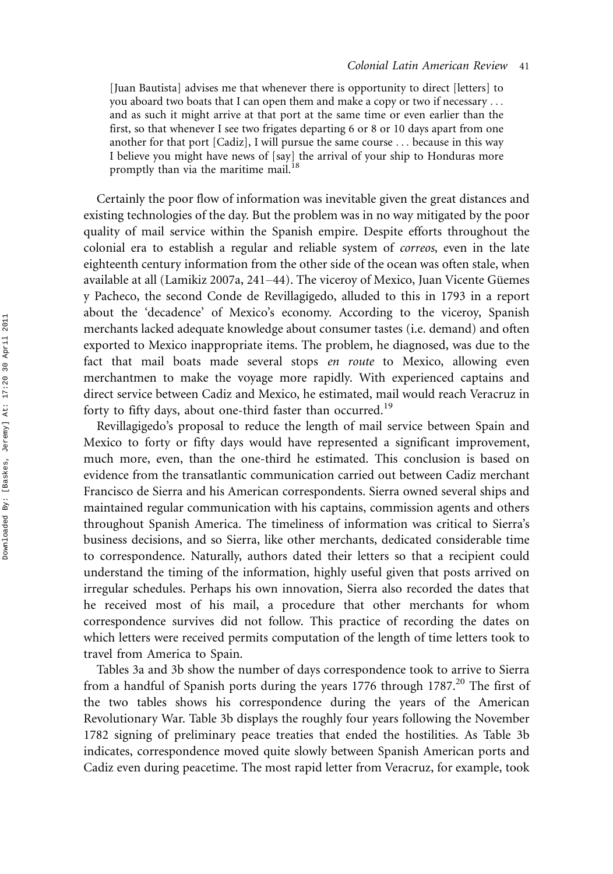[Juan Bautista] advises me that whenever there is opportunity to direct [letters] to you aboard two boats that I can open them and make a copy or two if necessary ... and as such it might arrive at that port at the same time or even earlier than the first, so that whenever I see two frigates departing 6 or 8 or 10 days apart from one another for that port [Cadiz], I will pursue the same course ... because in this way I believe you might have news of [say] the arrival of your ship to Honduras more promptly than via the maritime mail.<sup>18</sup>

Certainly the poor flow of information was inevitable given the great distances and existing technologies of the day. But the problem was in no way mitigated by the poor quality of mail service within the Spanish empire. Despite efforts throughout the colonial era to establish a regular and reliable system of correos, even in the late eighteenth century information from the other side of the ocean was often stale, when available at all (Lamikiz 2007a, 241-44). The viceroy of Mexico, Juan Vicente Güemes y Pacheco, the second Conde de Revillagigedo, alluded to this in 1793 in a report about the 'decadence' of Mexico's economy. According to the viceroy, Spanish merchants lacked adequate knowledge about consumer tastes (i.e. demand) and often exported to Mexico inappropriate items. The problem, he diagnosed, was due to the fact that mail boats made several stops en route to Mexico, allowing even merchantmen to make the voyage more rapidly. With experienced captains and direct service between Cadiz and Mexico, he estimated, mail would reach Veracruz in forty to fifty days, about one-third faster than occurred.<sup>19</sup>

Revillagigedo's proposal to reduce the length of mail service between Spain and Mexico to forty or fifty days would have represented a significant improvement, much more, even, than the one-third he estimated. This conclusion is based on evidence from the transatlantic communication carried out between Cadiz merchant Francisco de Sierra and his American correspondents. Sierra owned several ships and maintained regular communication with his captains, commission agents and others throughout Spanish America. The timeliness of information was critical to Sierra's business decisions, and so Sierra, like other merchants, dedicated considerable time to correspondence. Naturally, authors dated their letters so that a recipient could understand the timing of the information, highly useful given that posts arrived on irregular schedules. Perhaps his own innovation, Sierra also recorded the dates that he received most of his mail, a procedure that other merchants for whom correspondence survives did not follow. This practice of recording the dates on which letters were received permits computation of the length of time letters took to travel from America to Spain.

Tables 3a and 3b show the number of days correspondence took to arrive to Sierra from a handful of Spanish ports during the years 1776 through 1787.<sup>20</sup> The first of the two tables shows his correspondence during the years of the American Revolutionary War. Table 3b displays the roughly four years following the November 1782 signing of preliminary peace treaties that ended the hostilities. As Table 3b indicates, correspondence moved quite slowly between Spanish American ports and Cadiz even during peacetime. The most rapid letter from Veracruz, for example, took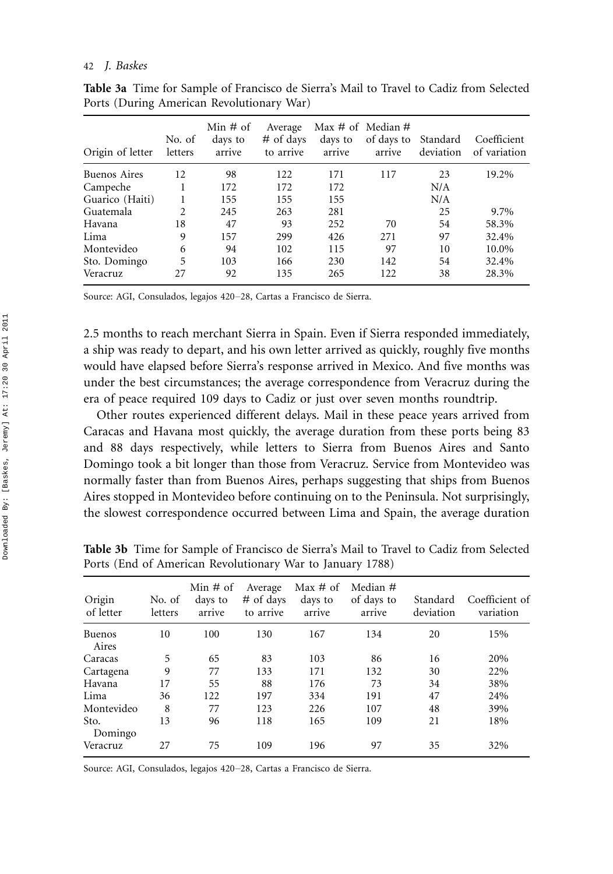#### 42 J. Baskes

| Origin of letter | No. of<br>letters | Min $#$ of<br>days to<br>arrive | Average<br># of days<br>to arrive | days to<br>arrive | Max $\#$ of Median $\#$<br>of days to<br>arrive | Standard<br>deviation | Coefficient<br>of variation |
|------------------|-------------------|---------------------------------|-----------------------------------|-------------------|-------------------------------------------------|-----------------------|-----------------------------|
| Buenos Aires     | 12                | 98                              | 122                               | 171               | 117                                             | 23                    | 19.2%                       |
| Campeche         |                   | 172                             | 172                               | 172               |                                                 | N/A                   |                             |
| Guarico (Haiti)  |                   | 155                             | 155                               | 155               |                                                 | N/A                   |                             |
| Guatemala        | 2                 | 245                             | 263                               | 281               |                                                 | 25                    | 9.7%                        |
| Havana           | 18                | 47                              | 93                                | 252               | 70                                              | 54                    | 58.3%                       |
| Lima             | 9                 | 157                             | 299                               | 426               | 271                                             | 97                    | 32.4%                       |
| Montevideo       | 6                 | 94                              | 102                               | 115               | 97                                              | 10                    | 10.0%                       |
| Sto. Domingo     | 5                 | 103                             | 166                               | 230               | 142                                             | 54                    | 32.4%                       |
| Veracruz         | 27                | 92                              | 135                               | 265               | 122                                             | 38                    | 28.3%                       |

Table 3a Time for Sample of Francisco de Sierra's Mail to Travel to Cadiz from Selected Ports (During American Revolutionary War)

Source: AGI, Consulados, legajos 420-28, Cartas a Francisco de Sierra.

2.5 months to reach merchant Sierra in Spain. Even if Sierra responded immediately, a ship was ready to depart, and his own letter arrived as quickly, roughly five months would have elapsed before Sierra's response arrived in Mexico. And five months was under the best circumstances; the average correspondence from Veracruz during the era of peace required 109 days to Cadiz or just over seven months roundtrip.

Other routes experienced different delays. Mail in these peace years arrived from Caracas and Havana most quickly, the average duration from these ports being 83 and 88 days respectively, while letters to Sierra from Buenos Aires and Santo Domingo took a bit longer than those from Veracruz. Service from Montevideo was normally faster than from Buenos Aires, perhaps suggesting that ships from Buenos Aires stopped in Montevideo before continuing on to the Peninsula. Not surprisingly, the slowest correspondence occurred between Lima and Spain, the average duration

| Origin<br>of letter | No. of<br>letters | Min $#$ of<br>days to<br>arrive | Average<br># of days<br>to arrive | Max $#$ of<br>days to<br>arrive | Median #<br>of days to<br>arrive | Standard<br>deviation | Coefficient of<br>variation |
|---------------------|-------------------|---------------------------------|-----------------------------------|---------------------------------|----------------------------------|-----------------------|-----------------------------|
| Buenos<br>Aires     | 10                | 100                             | 130                               | 167                             | 134                              | 20                    | 15%                         |
| Caracas             | 5                 | 65                              | 83                                | 103                             | 86                               | 16                    | 20%                         |
| Cartagena           | 9                 | 77                              | 133                               | 171                             | 132                              | 30                    | 22%                         |
| Havana              | 17                | 55                              | 88                                | 176                             | 73                               | 34                    | 38%                         |
| Lima                | 36                | 122                             | 197                               | 334                             | 191                              | 47                    | 24%                         |
| Montevideo          | 8                 | 77                              | 123                               | 226                             | 107                              | 48                    | 39%                         |
| Sto.<br>Domingo     | 13                | 96                              | 118                               | 165                             | 109                              | 21                    | 18%                         |
| Veracruz            | 27                | 75                              | 109                               | 196                             | 97                               | 35                    | 32%                         |

Table 3b Time for Sample of Francisco de Sierra's Mail to Travel to Cadiz from Selected Ports (End of American Revolutionary War to January 1788)

Source: AGI, Consulados, legajos 420-28, Cartas a Francisco de Sierra.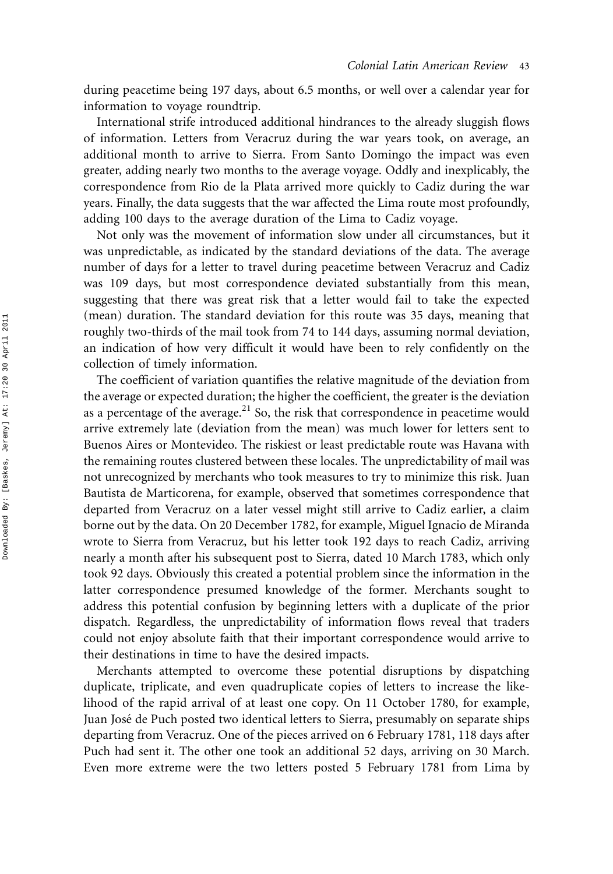during peacetime being 197 days, about 6.5 months, or well over a calendar year for information to voyage roundtrip.

International strife introduced additional hindrances to the already sluggish flows of information. Letters from Veracruz during the war years took, on average, an additional month to arrive to Sierra. From Santo Domingo the impact was even greater, adding nearly two months to the average voyage. Oddly and inexplicably, the correspondence from Rio de la Plata arrived more quickly to Cadiz during the war years. Finally, the data suggests that the war affected the Lima route most profoundly, adding 100 days to the average duration of the Lima to Cadiz voyage.

Not only was the movement of information slow under all circumstances, but it was unpredictable, as indicated by the standard deviations of the data. The average number of days for a letter to travel during peacetime between Veracruz and Cadiz was 109 days, but most correspondence deviated substantially from this mean, suggesting that there was great risk that a letter would fail to take the expected (mean) duration. The standard deviation for this route was 35 days, meaning that roughly two-thirds of the mail took from 74 to 144 days, assuming normal deviation, an indication of how very difficult it would have been to rely confidently on the collection of timely information.

The coefficient of variation quantifies the relative magnitude of the deviation from the average or expected duration; the higher the coefficient, the greater is the deviation as a percentage of the average. $^{21}$  So, the risk that correspondence in peacetime would arrive extremely late (deviation from the mean) was much lower for letters sent to Buenos Aires or Montevideo. The riskiest or least predictable route was Havana with the remaining routes clustered between these locales. The unpredictability of mail was not unrecognized by merchants who took measures to try to minimize this risk. Juan Bautista de Marticorena, for example, observed that sometimes correspondence that departed from Veracruz on a later vessel might still arrive to Cadiz earlier, a claim borne out by the data. On 20 December 1782, for example, Miguel Ignacio de Miranda wrote to Sierra from Veracruz, but his letter took 192 days to reach Cadiz, arriving nearly a month after his subsequent post to Sierra, dated 10 March 1783, which only took 92 days. Obviously this created a potential problem since the information in the latter correspondence presumed knowledge of the former. Merchants sought to address this potential confusion by beginning letters with a duplicate of the prior dispatch. Regardless, the unpredictability of information flows reveal that traders could not enjoy absolute faith that their important correspondence would arrive to their destinations in time to have the desired impacts.

Merchants attempted to overcome these potential disruptions by dispatching duplicate, triplicate, and even quadruplicate copies of letters to increase the likelihood of the rapid arrival of at least one copy. On 11 October 1780, for example, Juan José de Puch posted two identical letters to Sierra, presumably on separate ships departing from Veracruz. One of the pieces arrived on 6 February 1781, 118 days after Puch had sent it. The other one took an additional 52 days, arriving on 30 March. Even more extreme were the two letters posted 5 February 1781 from Lima by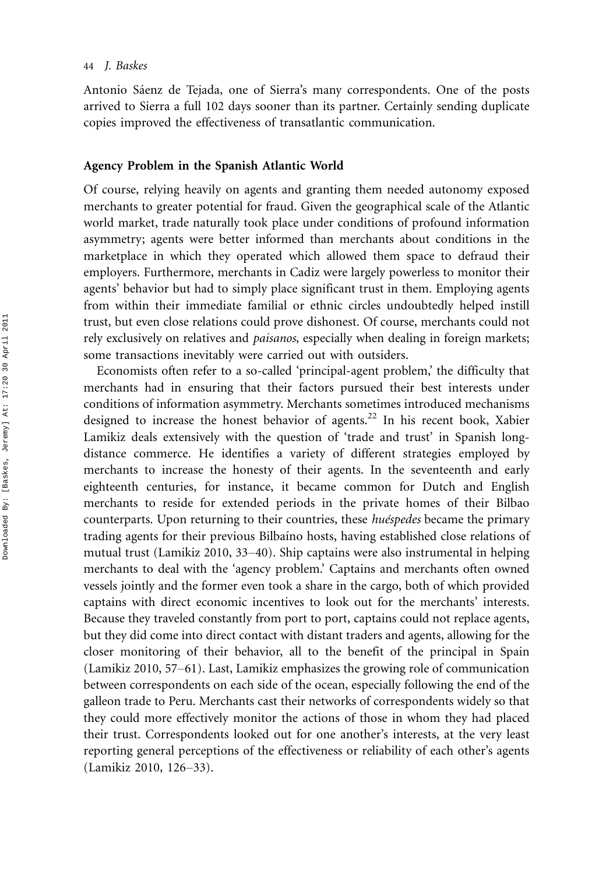#### 44 J. Baskes

Antonio Sáenz de Tejada, one of Sierra's many correspondents. One of the posts arrived to Sierra a full 102 days sooner than its partner. Certainly sending duplicate copies improved the effectiveness of transatlantic communication.

#### Agency Problem in the Spanish Atlantic World

Of course, relying heavily on agents and granting them needed autonomy exposed merchants to greater potential for fraud. Given the geographical scale of the Atlantic world market, trade naturally took place under conditions of profound information asymmetry; agents were better informed than merchants about conditions in the marketplace in which they operated which allowed them space to defraud their employers. Furthermore, merchants in Cadiz were largely powerless to monitor their agents' behavior but had to simply place significant trust in them. Employing agents from within their immediate familial or ethnic circles undoubtedly helped instill trust, but even close relations could prove dishonest. Of course, merchants could not rely exclusively on relatives and *paisanos*, especially when dealing in foreign markets; some transactions inevitably were carried out with outsiders.

Economists often refer to a so-called 'principal-agent problem,' the difficulty that merchants had in ensuring that their factors pursued their best interests under conditions of information asymmetry. Merchants sometimes introduced mechanisms designed to increase the honest behavior of agents.<sup>22</sup> In his recent book, Xabier Lamikiz deals extensively with the question of 'trade and trust' in Spanish longdistance commerce. He identifies a variety of different strategies employed by merchants to increase the honesty of their agents. In the seventeenth and early eighteenth centuries, for instance, it became common for Dutch and English merchants to reside for extended periods in the private homes of their Bilbao counterparts. Upon returning to their countries, these *huéspedes* became the primary trading agents for their previous Bilbaı´no hosts, having established close relations of mutual trust (Lamikiz 2010, 33–40). Ship captains were also instrumental in helping merchants to deal with the 'agency problem.' Captains and merchants often owned vessels jointly and the former even took a share in the cargo, both of which provided captains with direct economic incentives to look out for the merchants' interests. Because they traveled constantly from port to port, captains could not replace agents, but they did come into direct contact with distant traders and agents, allowing for the closer monitoring of their behavior, all to the benefit of the principal in Spain  $(Lamikiz 2010, 57–61)$ . Last, Lamikiz emphasizes the growing role of communication between correspondents on each side of the ocean, especially following the end of the galleon trade to Peru. Merchants cast their networks of correspondents widely so that they could more effectively monitor the actions of those in whom they had placed their trust. Correspondents looked out for one another's interests, at the very least reporting general perceptions of the effectiveness or reliability of each other's agents (Lamikiz 2010, 126-33).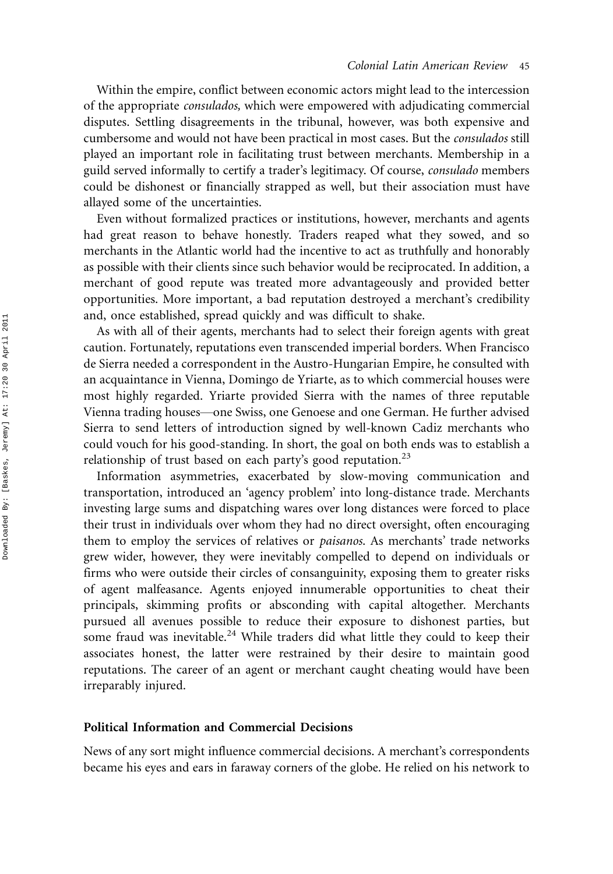Within the empire, conflict between economic actors might lead to the intercession of the appropriate consulados, which were empowered with adjudicating commercial disputes. Settling disagreements in the tribunal, however, was both expensive and cumbersome and would not have been practical in most cases. But the consulados still played an important role in facilitating trust between merchants. Membership in a guild served informally to certify a trader's legitimacy. Of course, consulado members could be dishonest or financially strapped as well, but their association must have allayed some of the uncertainties.

Even without formalized practices or institutions, however, merchants and agents had great reason to behave honestly. Traders reaped what they sowed, and so merchants in the Atlantic world had the incentive to act as truthfully and honorably as possible with their clients since such behavior would be reciprocated. In addition, a merchant of good repute was treated more advantageously and provided better opportunities. More important, a bad reputation destroyed a merchant's credibility and, once established, spread quickly and was difficult to shake.

As with all of their agents, merchants had to select their foreign agents with great caution. Fortunately, reputations even transcended imperial borders. When Francisco de Sierra needed a correspondent in the Austro-Hungarian Empire, he consulted with an acquaintance in Vienna, Domingo de Yriarte, as to which commercial houses were most highly regarded. Yriarte provided Sierra with the names of three reputable Vienna trading houses—one Swiss, one Genoese and one German. He further advised Sierra to send letters of introduction signed by well-known Cadiz merchants who could vouch for his good-standing. In short, the goal on both ends was to establish a relationship of trust based on each party's good reputation.<sup>23</sup>

Information asymmetries, exacerbated by slow-moving communication and transportation, introduced an 'agency problem' into long-distance trade. Merchants investing large sums and dispatching wares over long distances were forced to place their trust in individuals over whom they had no direct oversight, often encouraging them to employ the services of relatives or *paisanos*. As merchants' trade networks grew wider, however, they were inevitably compelled to depend on individuals or firms who were outside their circles of consanguinity, exposing them to greater risks of agent malfeasance. Agents enjoyed innumerable opportunities to cheat their principals, skimming profits or absconding with capital altogether. Merchants pursued all avenues possible to reduce their exposure to dishonest parties, but some fraud was inevitable.<sup>24</sup> While traders did what little they could to keep their associates honest, the latter were restrained by their desire to maintain good reputations. The career of an agent or merchant caught cheating would have been irreparably injured.

#### Political Information and Commercial Decisions

News of any sort might influence commercial decisions. A merchant's correspondents became his eyes and ears in faraway corners of the globe. He relied on his network to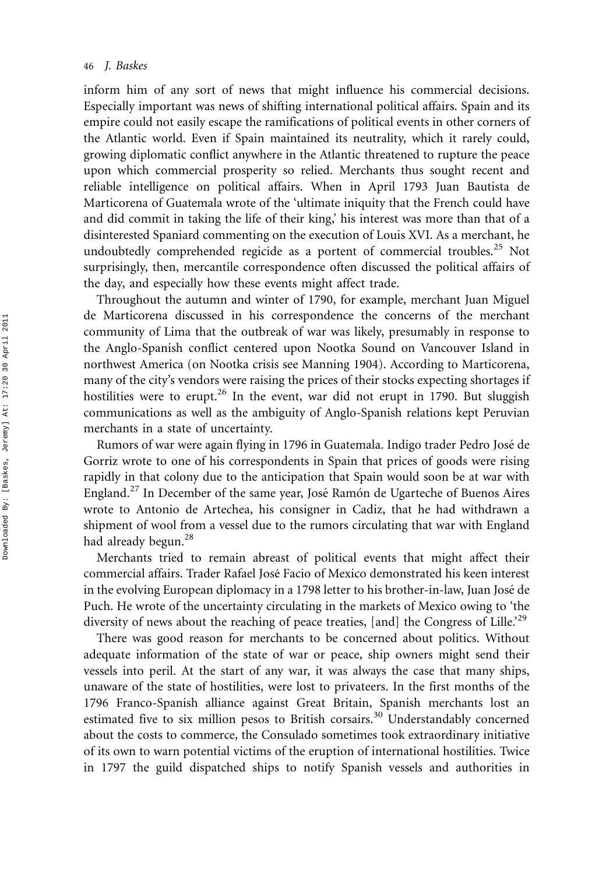inform him of any sort of news that might influence his commercial decisions. Especially important was news of shifting international political affairs. Spain and its empire could not easily escape the ramifications of political events in other corners of the Atlantic world. Even if Spain maintained its neutrality, which it rarely could, growing diplomatic conflict anywhere in the Atlantic threatened to rupture the peace upon which commercial prosperity so relied. Merchants thus sought recent and reliable intelligence on political affairs. When in April 1793 Juan Bautista de Marticorena of Guatemala wrote of the 'ultimate iniquity that the French could have and did commit in taking the life of their king,' his interest was more than that of a disinterested Spaniard commenting on the execution of Louis XVI. As a merchant, he undoubtedly comprehended regicide as a portent of commercial troubles.<sup>25</sup> Not surprisingly, then, mercantile correspondence often discussed the political affairs of the day, and especially how these events might affect trade.

Throughout the autumn and winter of 1790, for example, merchant Juan Miguel de Marticorena discussed in his correspondence the concerns of the merchant community of Lima that the outbreak of war was likely, presumably in response to the Anglo-Spanish conflict centered upon Nootka Sound on Vancouver Island in northwest America (on Nootka crisis see Manning 1904). According to Marticorena, many of the city's vendors were raising the prices of their stocks expecting shortages if hostilities were to erupt.<sup>26</sup> In the event, war did not erupt in 1790. But sluggish communications as well as the ambiguity of Anglo-Spanish relations kept Peruvian merchants in a state of uncertainty.

Rumors of war were again flying in 1796 in Guatemala. Indigo trader Pedro Jose´ de Gorriz wrote to one of his correspondents in Spain that prices of goods were rising rapidly in that colony due to the anticipation that Spain would soon be at war with England.<sup>27</sup> In December of the same year, José Ramón de Ugarteche of Buenos Aires wrote to Antonio de Artechea, his consigner in Cadiz, that he had withdrawn a shipment of wool from a vessel due to the rumors circulating that war with England had already begun.<sup>28</sup>

Merchants tried to remain abreast of political events that might affect their commercial affairs. Trader Rafael Jose´ Facio of Mexico demonstrated his keen interest in the evolving European diplomacy in a 1798 letter to his brother-in-law, Juan Jose´ de Puch. He wrote of the uncertainty circulating in the markets of Mexico owing to 'the diversity of news about the reaching of peace treaties, [and] the Congress of Lille.<sup>29</sup>

There was good reason for merchants to be concerned about politics. Without adequate information of the state of war or peace, ship owners might send their vessels into peril. At the start of any war, it was always the case that many ships, unaware of the state of hostilities, were lost to privateers. In the first months of the 1796 Franco-Spanish alliance against Great Britain, Spanish merchants lost an estimated five to six million pesos to British corsairs.<sup>30</sup> Understandably concerned about the costs to commerce, the Consulado sometimes took extraordinary initiative of its own to warn potential victims of the eruption of international hostilities. Twice in 1797 the guild dispatched ships to notify Spanish vessels and authorities in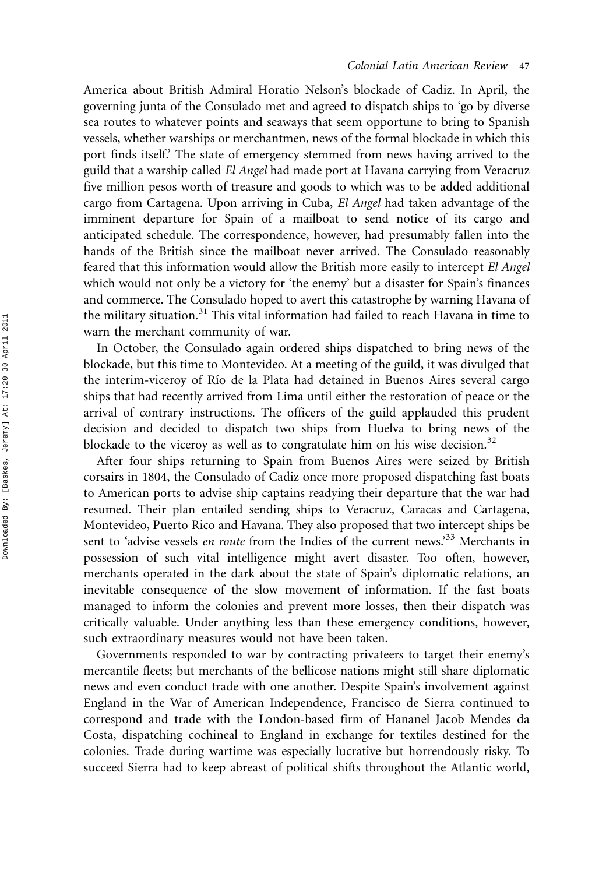America about British Admiral Horatio Nelson's blockade of Cadiz. In April, the governing junta of the Consulado met and agreed to dispatch ships to 'go by diverse sea routes to whatever points and seaways that seem opportune to bring to Spanish vessels, whether warships or merchantmen, news of the formal blockade in which this port finds itself.' The state of emergency stemmed from news having arrived to the guild that a warship called El Angel had made port at Havana carrying from Veracruz five million pesos worth of treasure and goods to which was to be added additional cargo from Cartagena. Upon arriving in Cuba, El Angel had taken advantage of the imminent departure for Spain of a mailboat to send notice of its cargo and anticipated schedule. The correspondence, however, had presumably fallen into the hands of the British since the mailboat never arrived. The Consulado reasonably feared that this information would allow the British more easily to intercept El Angel which would not only be a victory for 'the enemy' but a disaster for Spain's finances and commerce. The Consulado hoped to avert this catastrophe by warning Havana of the military situation.<sup>31</sup> This vital information had failed to reach Havana in time to warn the merchant community of war.

In October, the Consulado again ordered ships dispatched to bring news of the blockade, but this time to Montevideo. At a meeting of the guild, it was divulged that the interim-viceroy of Río de la Plata had detained in Buenos Aires several cargo ships that had recently arrived from Lima until either the restoration of peace or the arrival of contrary instructions. The officers of the guild applauded this prudent decision and decided to dispatch two ships from Huelva to bring news of the blockade to the viceroy as well as to congratulate him on his wise decision.<sup>32</sup>

After four ships returning to Spain from Buenos Aires were seized by British corsairs in 1804, the Consulado of Cadiz once more proposed dispatching fast boats to American ports to advise ship captains readying their departure that the war had resumed. Their plan entailed sending ships to Veracruz, Caracas and Cartagena, Montevideo, Puerto Rico and Havana. They also proposed that two intercept ships be sent to 'advise vessels en route from the Indies of the current news.<sup>33</sup> Merchants in possession of such vital intelligence might avert disaster. Too often, however, merchants operated in the dark about the state of Spain's diplomatic relations, an inevitable consequence of the slow movement of information. If the fast boats managed to inform the colonies and prevent more losses, then their dispatch was critically valuable. Under anything less than these emergency conditions, however, such extraordinary measures would not have been taken.

Governments responded to war by contracting privateers to target their enemy's mercantile fleets; but merchants of the bellicose nations might still share diplomatic news and even conduct trade with one another. Despite Spain's involvement against England in the War of American Independence, Francisco de Sierra continued to correspond and trade with the London-based firm of Hananel Jacob Mendes da Costa, dispatching cochineal to England in exchange for textiles destined for the colonies. Trade during wartime was especially lucrative but horrendously risky. To succeed Sierra had to keep abreast of political shifts throughout the Atlantic world,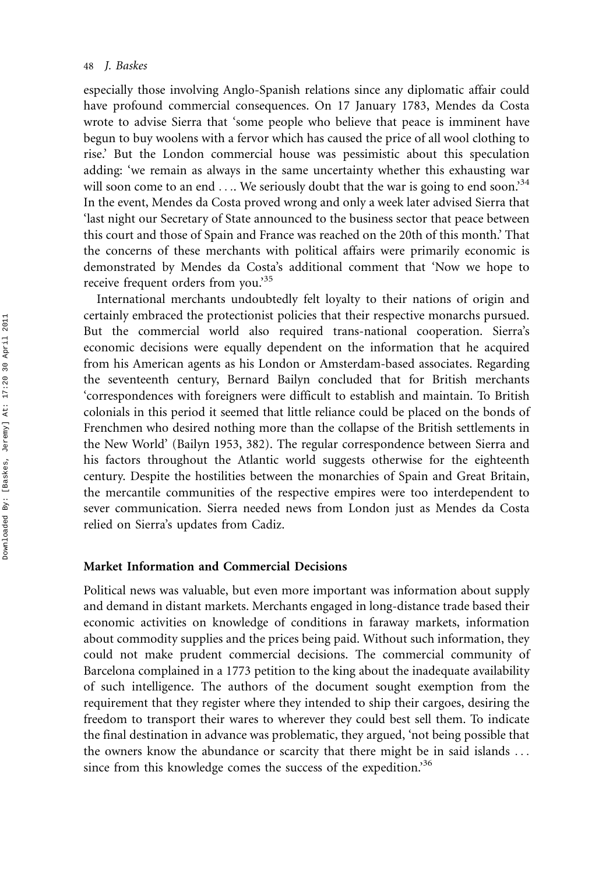especially those involving Anglo-Spanish relations since any diplomatic affair could have profound commercial consequences. On 17 January 1783, Mendes da Costa wrote to advise Sierra that 'some people who believe that peace is imminent have begun to buy woolens with a fervor which has caused the price of all wool clothing to rise.' But the London commercial house was pessimistic about this speculation adding: 'we remain as always in the same uncertainty whether this exhausting war will soon come to an end . . . We seriously doubt that the war is going to end soon.<sup>34</sup> In the event, Mendes da Costa proved wrong and only a week later advised Sierra that 'last night our Secretary of State announced to the business sector that peace between this court and those of Spain and France was reached on the 20th of this month.' That the concerns of these merchants with political affairs were primarily economic is demonstrated by Mendes da Costa's additional comment that 'Now we hope to receive frequent orders from you.'35

International merchants undoubtedly felt loyalty to their nations of origin and certainly embraced the protectionist policies that their respective monarchs pursued. But the commercial world also required trans-national cooperation. Sierra's economic decisions were equally dependent on the information that he acquired from his American agents as his London or Amsterdam-based associates. Regarding the seventeenth century, Bernard Bailyn concluded that for British merchants 'correspondences with foreigners were difficult to establish and maintain. To British colonials in this period it seemed that little reliance could be placed on the bonds of Frenchmen who desired nothing more than the collapse of the British settlements in the New World' (Bailyn 1953, 382). The regular correspondence between Sierra and his factors throughout the Atlantic world suggests otherwise for the eighteenth century. Despite the hostilities between the monarchies of Spain and Great Britain, the mercantile communities of the respective empires were too interdependent to sever communication. Sierra needed news from London just as Mendes da Costa relied on Sierra's updates from Cadiz.

#### Market Information and Commercial Decisions

Political news was valuable, but even more important was information about supply and demand in distant markets. Merchants engaged in long-distance trade based their economic activities on knowledge of conditions in faraway markets, information about commodity supplies and the prices being paid. Without such information, they could not make prudent commercial decisions. The commercial community of Barcelona complained in a 1773 petition to the king about the inadequate availability of such intelligence. The authors of the document sought exemption from the requirement that they register where they intended to ship their cargoes, desiring the freedom to transport their wares to wherever they could best sell them. To indicate the final destination in advance was problematic, they argued, 'not being possible that the owners know the abundance or scarcity that there might be in said islands ... since from this knowledge comes the success of the expedition.<sup>36</sup>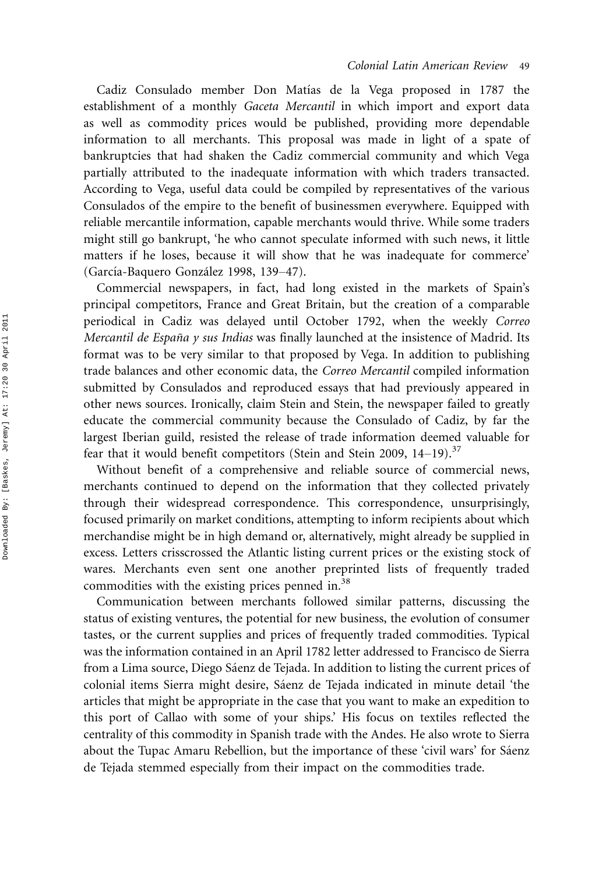Cadiz Consulado member Don Matías de la Vega proposed in 1787 the establishment of a monthly Gaceta Mercantil in which import and export data as well as commodity prices would be published, providing more dependable information to all merchants. This proposal was made in light of a spate of bankruptcies that had shaken the Cadiz commercial community and which Vega partially attributed to the inadequate information with which traders transacted. According to Vega, useful data could be compiled by representatives of the various Consulados of the empire to the benefit of businessmen everywhere. Equipped with reliable mercantile information, capable merchants would thrive. While some traders might still go bankrupt, 'he who cannot speculate informed with such news, it little matters if he loses, because it will show that he was inadequate for commerce' (García-Baquero González 1998, 139-47).

Commercial newspapers, in fact, had long existed in the markets of Spain's principal competitors, France and Great Britain, but the creation of a comparable periodical in Cadiz was delayed until October 1792, when the weekly Correo Mercantil de España y sus Indias was finally launched at the insistence of Madrid. Its format was to be very similar to that proposed by Vega. In addition to publishing trade balances and other economic data, the Correo Mercantil compiled information submitted by Consulados and reproduced essays that had previously appeared in other news sources. Ironically, claim Stein and Stein, the newspaper failed to greatly educate the commercial community because the Consulado of Cadiz, by far the largest Iberian guild, resisted the release of trade information deemed valuable for fear that it would benefit competitors (Stein and Stein 2009,  $14-19$ ).<sup>37</sup>

Without benefit of a comprehensive and reliable source of commercial news, merchants continued to depend on the information that they collected privately through their widespread correspondence. This correspondence, unsurprisingly, focused primarily on market conditions, attempting to inform recipients about which merchandise might be in high demand or, alternatively, might already be supplied in excess. Letters crisscrossed the Atlantic listing current prices or the existing stock of wares. Merchants even sent one another preprinted lists of frequently traded commodities with the existing prices penned in.<sup>38</sup>

Communication between merchants followed similar patterns, discussing the status of existing ventures, the potential for new business, the evolution of consumer tastes, or the current supplies and prices of frequently traded commodities. Typical was the information contained in an April 1782 letter addressed to Francisco de Sierra from a Lima source, Diego Sáenz de Tejada. In addition to listing the current prices of colonial items Sierra might desire, Sa´enz de Tejada indicated in minute detail 'the articles that might be appropriate in the case that you want to make an expedition to this port of Callao with some of your ships.' His focus on textiles reflected the centrality of this commodity in Spanish trade with the Andes. He also wrote to Sierra about the Tupac Amaru Rebellion, but the importance of these 'civil wars' for Sáenz de Tejada stemmed especially from their impact on the commodities trade.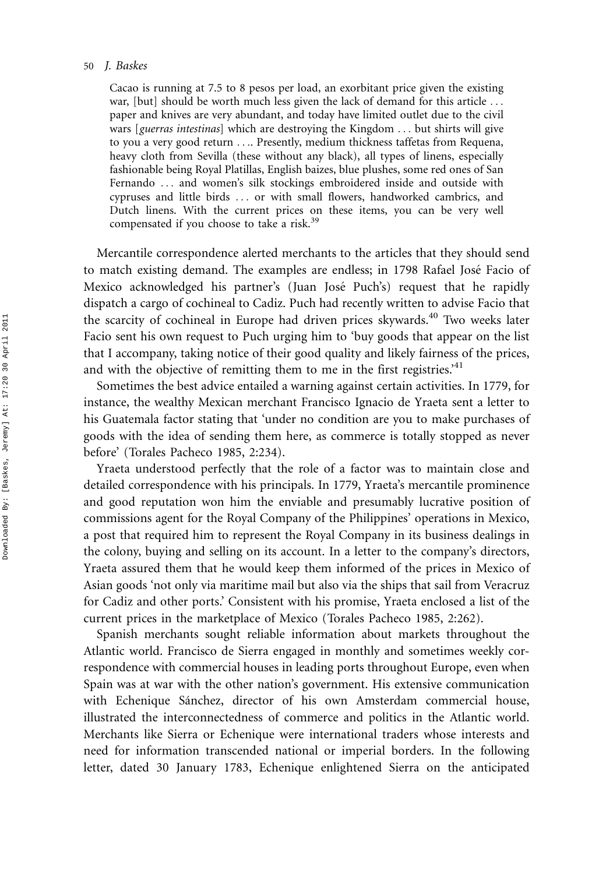#### 50 J. Baskes

Cacao is running at 7.5 to 8 pesos per load, an exorbitant price given the existing war, [but] should be worth much less given the lack of demand for this article ... paper and knives are very abundant, and today have limited outlet due to the civil wars [guerras intestinas] which are destroying the Kingdom ... but shirts will give to you a very good return .... Presently, medium thickness taffetas from Requena, heavy cloth from Sevilla (these without any black), all types of linens, especially fashionable being Royal Platillas, English baizes, blue plushes, some red ones of San Fernando ... and women's silk stockings embroidered inside and outside with cypruses and little birds ... or with small flowers, handworked cambrics, and Dutch linens. With the current prices on these items, you can be very well compensated if you choose to take a risk.<sup>39</sup>

Mercantile correspondence alerted merchants to the articles that they should send to match existing demand. The examples are endless; in 1798 Rafael Jose´ Facio of Mexico acknowledged his partner's (Juan José Puch's) request that he rapidly dispatch a cargo of cochineal to Cadiz. Puch had recently written to advise Facio that the scarcity of cochineal in Europe had driven prices skywards.<sup>40</sup> Two weeks later Facio sent his own request to Puch urging him to 'buy goods that appear on the list that I accompany, taking notice of their good quality and likely fairness of the prices, and with the objective of remitting them to me in the first registries.<sup>241</sup>

Sometimes the best advice entailed a warning against certain activities. In 1779, for instance, the wealthy Mexican merchant Francisco Ignacio de Yraeta sent a letter to his Guatemala factor stating that 'under no condition are you to make purchases of goods with the idea of sending them here, as commerce is totally stopped as never before' (Torales Pacheco 1985, 2:234).

Yraeta understood perfectly that the role of a factor was to maintain close and detailed correspondence with his principals. In 1779, Yraeta's mercantile prominence and good reputation won him the enviable and presumably lucrative position of commissions agent for the Royal Company of the Philippines' operations in Mexico, a post that required him to represent the Royal Company in its business dealings in the colony, buying and selling on its account. In a letter to the company's directors, Yraeta assured them that he would keep them informed of the prices in Mexico of Asian goods 'not only via maritime mail but also via the ships that sail from Veracruz for Cadiz and other ports.' Consistent with his promise, Yraeta enclosed a list of the current prices in the marketplace of Mexico (Torales Pacheco 1985, 2:262).

Spanish merchants sought reliable information about markets throughout the Atlantic world. Francisco de Sierra engaged in monthly and sometimes weekly correspondence with commercial houses in leading ports throughout Europe, even when Spain was at war with the other nation's government. His extensive communication with Echenique Sánchez, director of his own Amsterdam commercial house, illustrated the interconnectedness of commerce and politics in the Atlantic world. Merchants like Sierra or Echenique were international traders whose interests and need for information transcended national or imperial borders. In the following letter, dated 30 January 1783, Echenique enlightened Sierra on the anticipated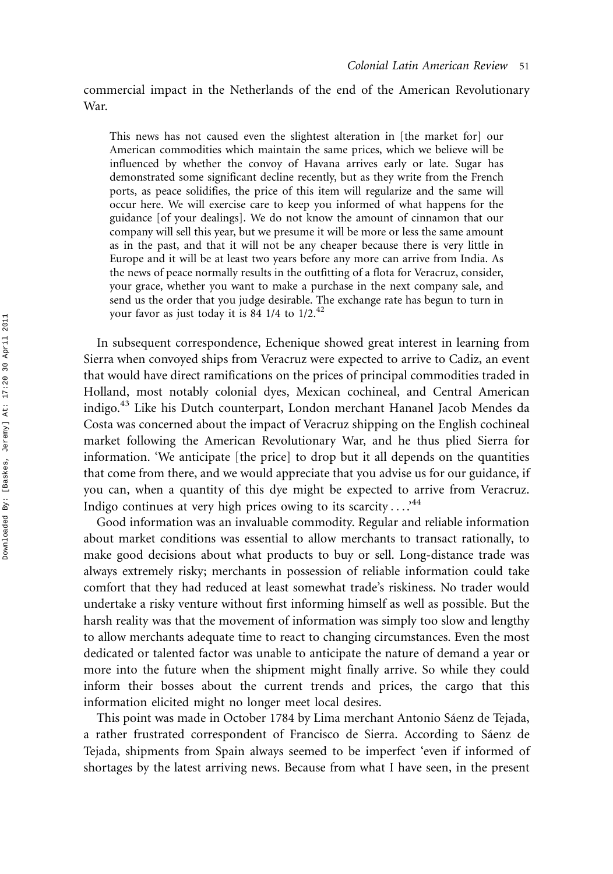commercial impact in the Netherlands of the end of the American Revolutionary War.

This news has not caused even the slightest alteration in [the market for] our American commodities which maintain the same prices, which we believe will be influenced by whether the convoy of Havana arrives early or late. Sugar has demonstrated some significant decline recently, but as they write from the French ports, as peace solidifies, the price of this item will regularize and the same will occur here. We will exercise care to keep you informed of what happens for the guidance [of your dealings]. We do not know the amount of cinnamon that our company will sell this year, but we presume it will be more or less the same amount as in the past, and that it will not be any cheaper because there is very little in Europe and it will be at least two years before any more can arrive from India. As the news of peace normally results in the outfitting of a flota for Veracruz, consider, your grace, whether you want to make a purchase in the next company sale, and send us the order that you judge desirable. The exchange rate has begun to turn in your favor as just today it is 84 1/4 to 1/2.<sup>42</sup>

In subsequent correspondence, Echenique showed great interest in learning from Sierra when convoyed ships from Veracruz were expected to arrive to Cadiz, an event that would have direct ramifications on the prices of principal commodities traded in Holland, most notably colonial dyes, Mexican cochineal, and Central American indigo.43 Like his Dutch counterpart, London merchant Hananel Jacob Mendes da Costa was concerned about the impact of Veracruz shipping on the English cochineal market following the American Revolutionary War, and he thus plied Sierra for information. 'We anticipate [the price] to drop but it all depends on the quantities that come from there, and we would appreciate that you advise us for our guidance, if you can, when a quantity of this dye might be expected to arrive from Veracruz. Indigo continues at very high prices owing to its scarcity ....' 44

Good information was an invaluable commodity. Regular and reliable information about market conditions was essential to allow merchants to transact rationally, to make good decisions about what products to buy or sell. Long-distance trade was always extremely risky; merchants in possession of reliable information could take comfort that they had reduced at least somewhat trade's riskiness. No trader would undertake a risky venture without first informing himself as well as possible. But the harsh reality was that the movement of information was simply too slow and lengthy to allow merchants adequate time to react to changing circumstances. Even the most dedicated or talented factor was unable to anticipate the nature of demand a year or more into the future when the shipment might finally arrive. So while they could inform their bosses about the current trends and prices, the cargo that this information elicited might no longer meet local desires.

This point was made in October 1784 by Lima merchant Antonio Sáenz de Tejada, a rather frustrated correspondent of Francisco de Sierra. According to Sáenz de Tejada, shipments from Spain always seemed to be imperfect 'even if informed of shortages by the latest arriving news. Because from what I have seen, in the present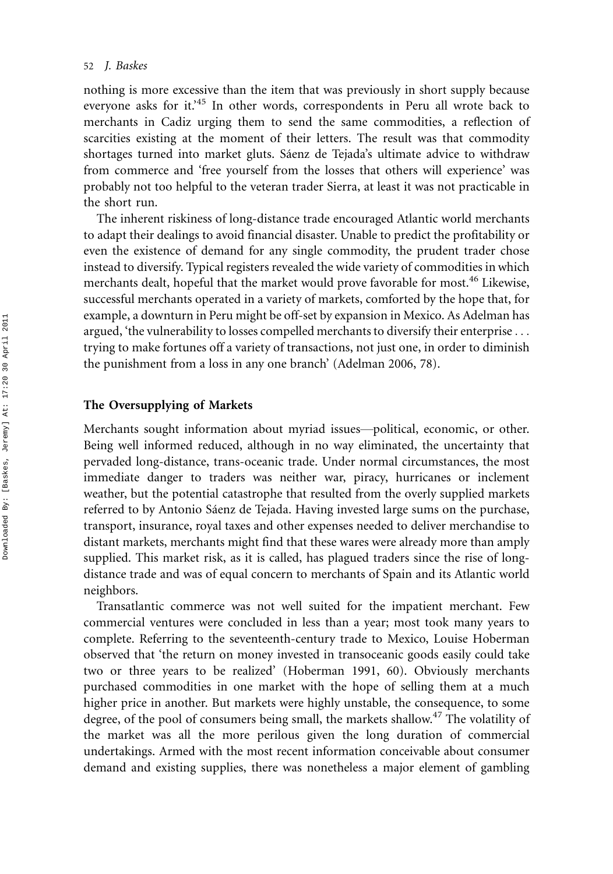nothing is more excessive than the item that was previously in short supply because everyone asks for it.<sup>45</sup> In other words, correspondents in Peru all wrote back to merchants in Cadiz urging them to send the same commodities, a reflection of scarcities existing at the moment of their letters. The result was that commodity shortages turned into market gluts. Sáenz de Tejada's ultimate advice to withdraw from commerce and 'free yourself from the losses that others will experience' was probably not too helpful to the veteran trader Sierra, at least it was not practicable in the short run.

The inherent riskiness of long-distance trade encouraged Atlantic world merchants to adapt their dealings to avoid financial disaster. Unable to predict the profitability or even the existence of demand for any single commodity, the prudent trader chose instead to diversify. Typical registers revealed the wide variety of commodities in which merchants dealt, hopeful that the market would prove favorable for most.<sup>46</sup> Likewise, successful merchants operated in a variety of markets, comforted by the hope that, for example, a downturn in Peru might be off-set by expansion in Mexico. As Adelman has argued, 'the vulnerability to losses compelled merchants to diversify their enterprise ... trying to make fortunes off a variety of transactions, not just one, in order to diminish the punishment from a loss in any one branch' (Adelman 2006, 78).

#### The Oversupplying of Markets

Merchants sought information about myriad issues—political, economic, or other. Being well informed reduced, although in no way eliminated, the uncertainty that pervaded long-distance, trans-oceanic trade. Under normal circumstances, the most immediate danger to traders was neither war, piracy, hurricanes or inclement weather, but the potential catastrophe that resulted from the overly supplied markets referred to by Antonio Sáenz de Tejada. Having invested large sums on the purchase, transport, insurance, royal taxes and other expenses needed to deliver merchandise to distant markets, merchants might find that these wares were already more than amply supplied. This market risk, as it is called, has plagued traders since the rise of longdistance trade and was of equal concern to merchants of Spain and its Atlantic world neighbors.

Transatlantic commerce was not well suited for the impatient merchant. Few commercial ventures were concluded in less than a year; most took many years to complete. Referring to the seventeenth-century trade to Mexico, Louise Hoberman observed that 'the return on money invested in transoceanic goods easily could take two or three years to be realized' (Hoberman 1991, 60). Obviously merchants purchased commodities in one market with the hope of selling them at a much higher price in another. But markets were highly unstable, the consequence, to some degree, of the pool of consumers being small, the markets shallow.<sup>47</sup> The volatility of the market was all the more perilous given the long duration of commercial undertakings. Armed with the most recent information conceivable about consumer demand and existing supplies, there was nonetheless a major element of gambling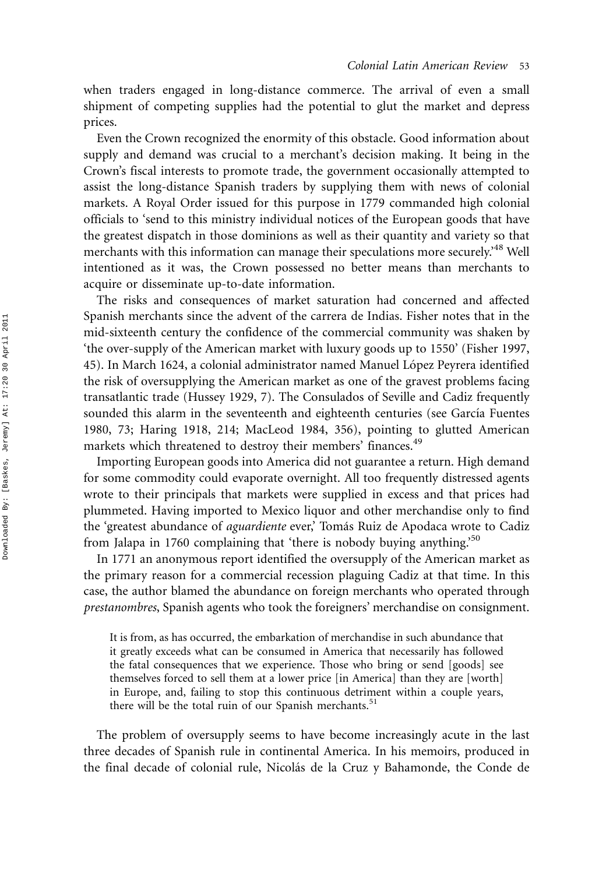when traders engaged in long-distance commerce. The arrival of even a small shipment of competing supplies had the potential to glut the market and depress prices.

Even the Crown recognized the enormity of this obstacle. Good information about supply and demand was crucial to a merchant's decision making. It being in the Crown's fiscal interests to promote trade, the government occasionally attempted to assist the long-distance Spanish traders by supplying them with news of colonial markets. A Royal Order issued for this purpose in 1779 commanded high colonial officials to 'send to this ministry individual notices of the European goods that have the greatest dispatch in those dominions as well as their quantity and variety so that merchants with this information can manage their speculations more securely.<sup>48</sup> Well intentioned as it was, the Crown possessed no better means than merchants to acquire or disseminate up-to-date information.

The risks and consequences of market saturation had concerned and affected Spanish merchants since the advent of the carrera de Indias. Fisher notes that in the mid-sixteenth century the confidence of the commercial community was shaken by 'the over-supply of the American market with luxury goods up to 1550' (Fisher 1997, 45). In March 1624, a colonial administrator named Manuel López Peyrera identified the risk of oversupplying the American market as one of the gravest problems facing transatlantic trade (Hussey 1929, 7). The Consulados of Seville and Cadiz frequently sounded this alarm in the seventeenth and eighteenth centuries (see García Fuentes 1980, 73; Haring 1918, 214; MacLeod 1984, 356), pointing to glutted American markets which threatened to destroy their members' finances.<sup>49</sup>

Importing European goods into America did not guarantee a return. High demand for some commodity could evaporate overnight. All too frequently distressed agents wrote to their principals that markets were supplied in excess and that prices had plummeted. Having imported to Mexico liquor and other merchandise only to find the 'greatest abundance of aguardiente ever,' Tomás Ruiz de Apodaca wrote to Cadiz from Jalapa in 1760 complaining that 'there is nobody buying anything.'<sup>50</sup>

In 1771 an anonymous report identified the oversupply of the American market as the primary reason for a commercial recession plaguing Cadiz at that time. In this case, the author blamed the abundance on foreign merchants who operated through prestanombres, Spanish agents who took the foreigners' merchandise on consignment.

It is from, as has occurred, the embarkation of merchandise in such abundance that it greatly exceeds what can be consumed in America that necessarily has followed the fatal consequences that we experience. Those who bring or send [goods] see themselves forced to sell them at a lower price [in America] than they are [worth] in Europe, and, failing to stop this continuous detriment within a couple years, there will be the total ruin of our Spanish merchants. $51$ 

The problem of oversupply seems to have become increasingly acute in the last three decades of Spanish rule in continental America. In his memoirs, produced in the final decade of colonial rule, Nicola´s de la Cruz y Bahamonde, the Conde de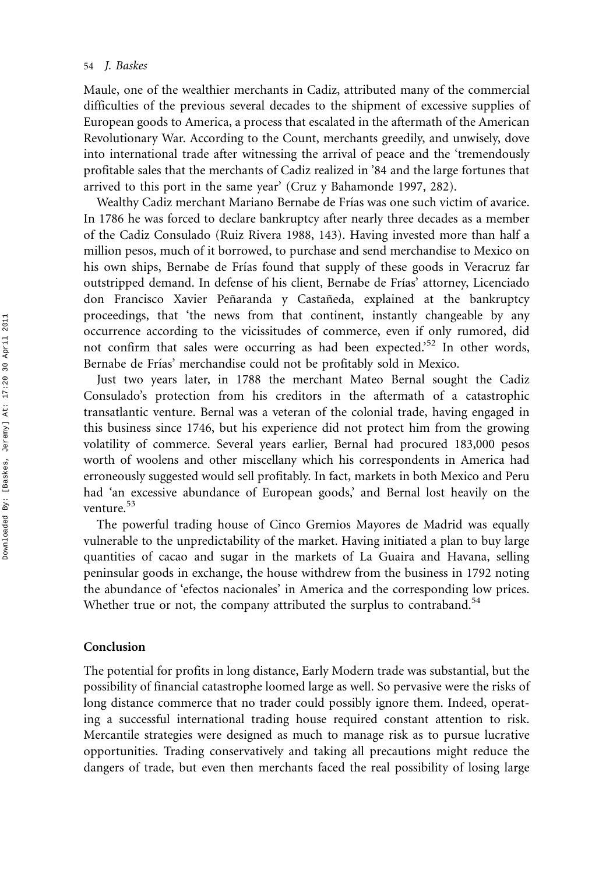Maule, one of the wealthier merchants in Cadiz, attributed many of the commercial difficulties of the previous several decades to the shipment of excessive supplies of European goods to America, a process that escalated in the aftermath of the American Revolutionary War. According to the Count, merchants greedily, and unwisely, dove into international trade after witnessing the arrival of peace and the 'tremendously profitable sales that the merchants of Cadiz realized in '84 and the large fortunes that arrived to this port in the same year' (Cruz y Bahamonde 1997, 282).

Wealthy Cadiz merchant Mariano Bernabe de Frías was one such victim of avarice. In 1786 he was forced to declare bankruptcy after nearly three decades as a member of the Cadiz Consulado (Ruiz Rivera 1988, 143). Having invested more than half a million pesos, much of it borrowed, to purchase and send merchandise to Mexico on his own ships, Bernabe de Frías found that supply of these goods in Veracruz far outstripped demand. In defense of his client, Bernabe de Frías' attorney, Licenciado don Francisco Xavier Peñaranda y Castañeda, explained at the bankruptcy proceedings, that 'the news from that continent, instantly changeable by any occurrence according to the vicissitudes of commerce, even if only rumored, did not confirm that sales were occurring as had been expected.' <sup>52</sup> In other words, Bernabe de Frías' merchandise could not be profitably sold in Mexico.

Just two years later, in 1788 the merchant Mateo Bernal sought the Cadiz Consulado's protection from his creditors in the aftermath of a catastrophic transatlantic venture. Bernal was a veteran of the colonial trade, having engaged in this business since 1746, but his experience did not protect him from the growing volatility of commerce. Several years earlier, Bernal had procured 183,000 pesos worth of woolens and other miscellany which his correspondents in America had erroneously suggested would sell profitably. In fact, markets in both Mexico and Peru had 'an excessive abundance of European goods,' and Bernal lost heavily on the venture.<sup>53</sup>

The powerful trading house of Cinco Gremios Mayores de Madrid was equally vulnerable to the unpredictability of the market. Having initiated a plan to buy large quantities of cacao and sugar in the markets of La Guaira and Havana, selling peninsular goods in exchange, the house withdrew from the business in 1792 noting the abundance of 'efectos nacionales' in America and the corresponding low prices. Whether true or not, the company attributed the surplus to contraband.<sup>54</sup>

#### Conclusion

The potential for profits in long distance, Early Modern trade was substantial, but the possibility of financial catastrophe loomed large as well. So pervasive were the risks of long distance commerce that no trader could possibly ignore them. Indeed, operating a successful international trading house required constant attention to risk. Mercantile strategies were designed as much to manage risk as to pursue lucrative opportunities. Trading conservatively and taking all precautions might reduce the dangers of trade, but even then merchants faced the real possibility of losing large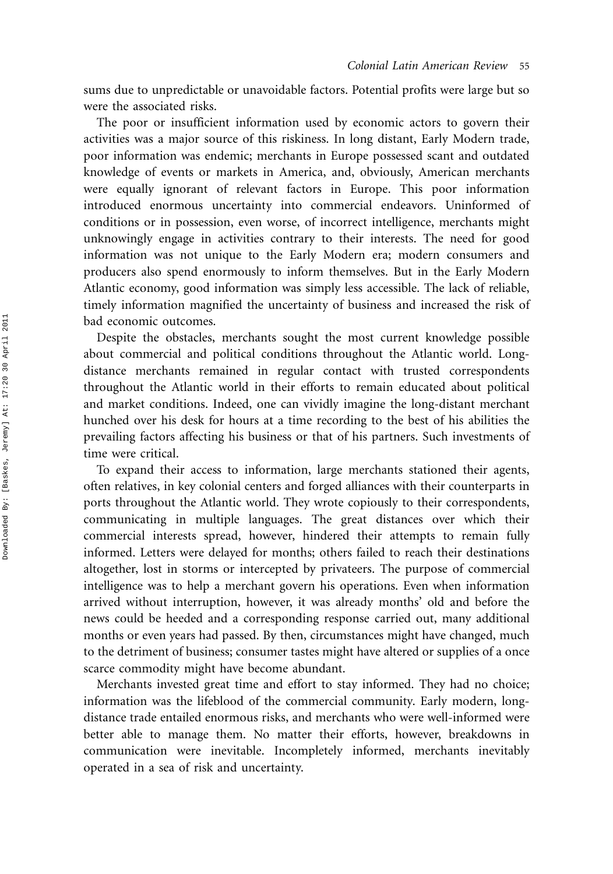sums due to unpredictable or unavoidable factors. Potential profits were large but so were the associated risks.

The poor or insufficient information used by economic actors to govern their activities was a major source of this riskiness. In long distant, Early Modern trade, poor information was endemic; merchants in Europe possessed scant and outdated knowledge of events or markets in America, and, obviously, American merchants were equally ignorant of relevant factors in Europe. This poor information introduced enormous uncertainty into commercial endeavors. Uninformed of conditions or in possession, even worse, of incorrect intelligence, merchants might unknowingly engage in activities contrary to their interests. The need for good information was not unique to the Early Modern era; modern consumers and producers also spend enormously to inform themselves. But in the Early Modern Atlantic economy, good information was simply less accessible. The lack of reliable, timely information magnified the uncertainty of business and increased the risk of bad economic outcomes.

Despite the obstacles, merchants sought the most current knowledge possible about commercial and political conditions throughout the Atlantic world. Longdistance merchants remained in regular contact with trusted correspondents throughout the Atlantic world in their efforts to remain educated about political and market conditions. Indeed, one can vividly imagine the long-distant merchant hunched over his desk for hours at a time recording to the best of his abilities the prevailing factors affecting his business or that of his partners. Such investments of time were critical.

To expand their access to information, large merchants stationed their agents, often relatives, in key colonial centers and forged alliances with their counterparts in ports throughout the Atlantic world. They wrote copiously to their correspondents, communicating in multiple languages. The great distances over which their commercial interests spread, however, hindered their attempts to remain fully informed. Letters were delayed for months; others failed to reach their destinations altogether, lost in storms or intercepted by privateers. The purpose of commercial intelligence was to help a merchant govern his operations. Even when information arrived without interruption, however, it was already months' old and before the news could be heeded and a corresponding response carried out, many additional months or even years had passed. By then, circumstances might have changed, much to the detriment of business; consumer tastes might have altered or supplies of a once scarce commodity might have become abundant.

Merchants invested great time and effort to stay informed. They had no choice; information was the lifeblood of the commercial community. Early modern, longdistance trade entailed enormous risks, and merchants who were well-informed were better able to manage them. No matter their efforts, however, breakdowns in communication were inevitable. Incompletely informed, merchants inevitably operated in a sea of risk and uncertainty.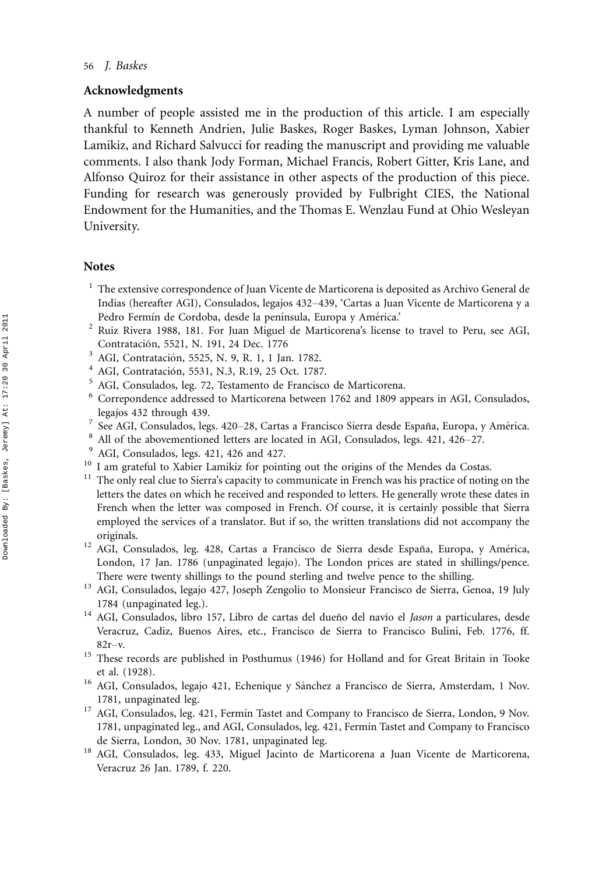#### Acknowledgments

A number of people assisted me in the production of this article. I am especially thankful to Kenneth Andrien, Julie Baskes, Roger Baskes, Lyman Johnson, Xabier Lamikiz, and Richard Salvucci for reading the manuscript and providing me valuable comments. I also thank Jody Forman, Michael Francis, Robert Gitter, Kris Lane, and Alfonso Quiroz for their assistance in other aspects of the production of this piece. Funding for research was generously provided by Fulbright CIES, the National Endowment for the Humanities, and the Thomas E. Wenzlau Fund at Ohio Wesleyan University.

#### Notes

- $<sup>1</sup>$  The extensive correspondence of Juan Vicente de Marticorena is deposited as Archivo General de</sup> Indias (hereafter AGI), Consulados, legajos 432-439, 'Cartas a Juan Vicente de Marticorena y a
- Pedro Fermín de Cordoba, desde la península, Europa y América.' <sup>2</sup> Ruiz Rivera 1988, 181. For Juan Miguel de Marticorena's license to travel to Peru, see AGI,
- 
- 
- 
- Contratación, 5521, N. 191, 24 Dec. 1776<br>
<sup>3</sup> AGI, Contratación, 5525, N. 9, R. 1, 1 Jan. 1782.<br>
<sup>4</sup> AGI, Contratación, 5531, N.3, R.19, 25 Oct. 1787.<br>
<sup>5</sup> AGI, Consulados, leg. 72, Testamento de Francisco de Marticorena.<br> legajos 432 through 439.<br>
<sup>7</sup> See AGI, Consulados, legs. 420–28, Cartas a Francisco Sierra desde España, Europa, y América.<br>
<sup>8</sup> All of the abovementioned letters are located in AGI, Consulados, legs. 421, 426–27.<br>
<sup>9</sup> AG
- 
- 
- 
- 
- letters the dates on which he received and responded to letters. He generally wrote these dates in French when the letter was composed in French. Of course, it is certainly possible that Sierra employed the services of a translator. But if so, the written translations did not accompany the
- originals.<br><sup>12</sup> AGI, Consulados, leg. 428, Cartas a Francisco de Sierra desde España, Europa, y América, London, 17 Jan. 1786 (unpaginated legajo). The London prices are stated in shillings/pence.
- There were twenty shillings to the pound sterling and twelve pence to the shilling. <sup>13</sup> AGI, Consulados, legajo 427, Joseph Zengolio to Monsieur Francisco de Sierra, Genoa, 19 July
- 1784 (unpaginated leg.).<br><sup>14</sup> AGI, Consulados, libro 157, Libro de cartas del dueño del navío el *Jason* a particulares, desde Veracruz, Cadiz, Buenos Aires, etc., Francisco de Sierra to Francisco Bulini, Feb. 1776, ff.
- $82r-v$ .<br><sup>15</sup> These records are published in Posthumus (1946) for Holland and for Great Britain in Tooke et al. (1928).<br><sup>16</sup> AGI, Consulados, legajo 421, Echenique y Sánchez a Francisco de Sierra, Amsterdam, 1 Nov.
- 1781, unpaginated leg.<br><sup>17</sup> AGI, Consulados, leg. 421, Fermín Tastet and Company to Francisco de Sierra, London, 9 Nov.
- 1781, unpaginated leg., and AGI, Consulados, leg. 421, Fermín Tastet and Company to Francisco
- de Sierra, London, 30 Nov. 1781, unpaginated leg.<br><sup>18</sup> AGI, Consulados, leg. 433, Miguel Jacinto de Marticorena a Juan Vicente de Marticorena, Veracruz 26 Jan. 1789, f. 220.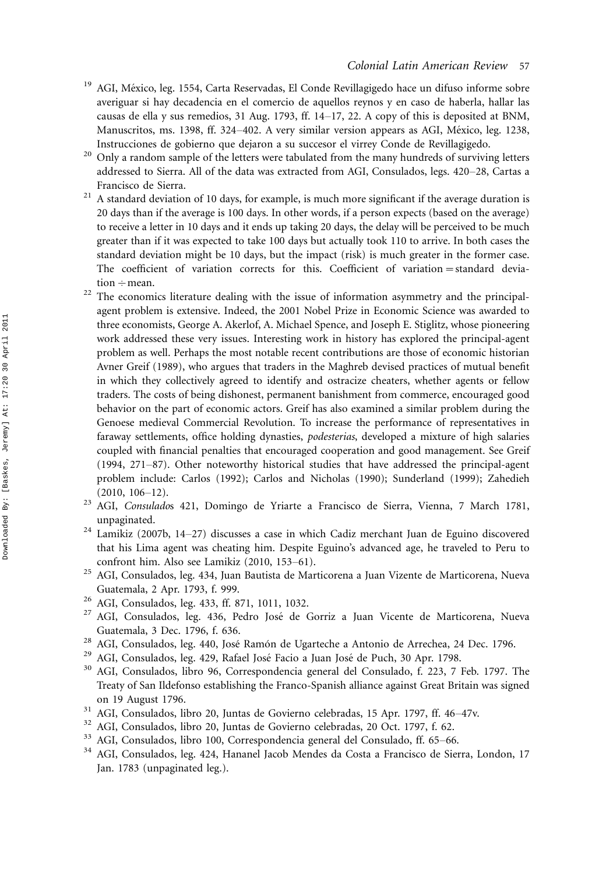- <sup>19</sup> AGI, México, leg. 1554, Carta Reservadas, El Conde Revillagigedo hace un difuso informe sobre averiguar si hay decadencia en el comercio de aquellos reynos y en caso de haberla, hallar las causas de ella y sus remedios, 31 Aug. 1793, ff.  $14-17$ , 22. A copy of this is deposited at BNM, Manuscritos, ms. 1398, ff. 324–402. A very similar version appears as AGI, México, leg. 1238, Instrucciones de gobierno que dejaron a su succesor el virrey Conde de Revillagigedo. <sup>20</sup> Only a random sample of the letters were tabulated from the many hundreds of surviving letters
- addressed to Sierra. All of the data was extracted from AGI, Consulados, legs. 420-28, Cartas a Francisco de Sierra.<br><sup>21</sup> A standard deviation of 10 days, for example, is much more significant if the average duration is
- 20 days than if the average is 100 days. In other words, if a person expects (based on the average) to receive a letter in 10 days and it ends up taking 20 days, the delay will be perceived to be much greater than if it was expected to take 100 days but actually took 110 to arrive. In both cases the standard deviation might be 10 days, but the impact (risk) is much greater in the former case. The coefficient of variation corrects for this. Coefficient of variation  $=$  standard devia-
- tion  $\div$  mean.<br><sup>22</sup> The economics literature dealing with the issue of information asymmetry and the principalagent problem is extensive. Indeed, the 2001 Nobel Prize in Economic Science was awarded to three economists, George A. Akerlof, A. Michael Spence, and Joseph E. Stiglitz, whose pioneering work addressed these very issues. Interesting work in history has explored the principal-agent problem as well. Perhaps the most notable recent contributions are those of economic historian Avner Greif (1989), who argues that traders in the Maghreb devised practices of mutual benefit in which they collectively agreed to identify and ostracize cheaters, whether agents or fellow traders. The costs of being dishonest, permanent banishment from commerce, encouraged good behavior on the part of economic actors. Greif has also examined a similar problem during the Genoese medieval Commercial Revolution. To increase the performance of representatives in faraway settlements, office holding dynasties, podesterias, developed a mixture of high salaries coupled with financial penalties that encouraged cooperation and good management. See Greif  $(1994, 271-87)$ . Other noteworthy historical studies that have addressed the principal-agent problem include: Carlos (1992); Carlos and Nicholas (1990); Sunderland (1999); Zahedieh
- (2010, 106–12).  $2^3$  AGI, *Consulados* 421, Domingo de Yriarte a Francisco de Sierra, Vienna, 7 March 1781, unpaginated.
- $24$  Lamikiz (2007b, 14-27) discusses a case in which Cadiz merchant Juan de Eguino discovered that his Lima agent was cheating him. Despite Eguino's advanced age, he traveled to Peru to
- confront him. Also see Lamikiz (2010, 153–61).<br><sup>25</sup> AGI, Consulados, leg. 434, Juan Bautista de Marticorena a Juan Vizente de Marticorena, Nueva Guatemala, 2 Apr. 1793, f. 999. <sup>26</sup> AGI, Consulados, leg. 433, ff. 871, 1011, 1032. <sup>27</sup> AGI, Consulados, leg. 436, Pedro Jose´ de Gorriz a Juan Vicente de Marticorena, Nueva
- 
- Guatemala, 3 Dec. 1796, f. 636.<br><sup>28</sup> AGI, Consulados, leg. 440, José Ramón de Ugarteche a Antonio de Arrechea, 24 Dec. 1796.<br><sup>29</sup> AGI, Consulados, leg. 429, Rafael José Facio a Juan José de Puch, 30 Apr. 1798.<br><sup>30</sup> AGI, Co
- 
- 
- Treaty of San Ildefonso establishing the Franco-Spanish alliance against Great Britain was signed on 19 August 1796.<br><sup>31</sup> AGI, Consulados, libro 20, Juntas de Govierno celebradas, 15 Apr. 1797, ff. 46–47v.<br><sup>32</sup> AGI, Consulados, libro 20, Juntas de Govierno celebradas, 20 Oct. 1797, f. 62.<br><sup>33</sup> AGI, Consulados, libro 10
- 
- 
- 
- Jan. 1783 (unpaginated leg.).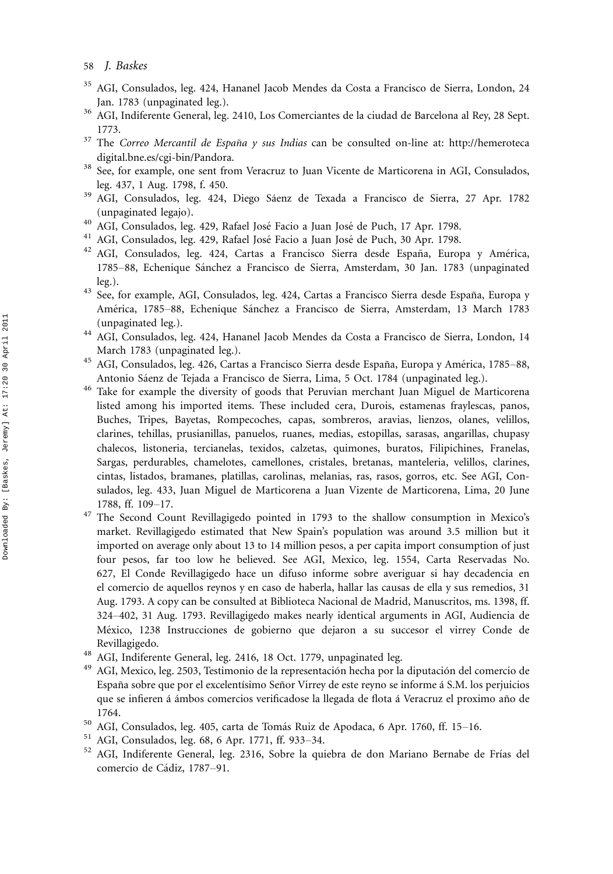- 58 J. Baskes
- <sup>35</sup> AGI, Consulados, leg. 424, Hananel Jacob Mendes da Costa a Francisco de Sierra, London, 24 Jan. 1783 (unpaginated leg.). <sup>36</sup> AGI, Indiferente General, leg. 2410, Los Comerciantes de la ciudad de Barcelona al Rey, 28 Sept.
- 
- 1773.<br><sup>37</sup> The Correo Mercantil de España y sus Indias can be consulted on-line at: [http://hemeroteca](http://hemerotecadigital.bne.es/cgi-bin/Pandora.) [digital.bne.es/cgi-bin/Pandora.](http://hemerotecadigital.bne.es/cgi-bin/Pandora.)<br><sup>38</sup> See, for example, one sent from Veracruz to Juan Vicente de Marticorena in AGI, Consulados,
- leg. 437, 1 Aug. 1798, f. 450. <sup>39</sup> AGI, Consulados, leg. 424, Diego Sa´enz de Texada a Francisco de Sierra, 27 Apr. 1782
- (unpaginated legajo).<br><sup>40</sup> AGI, Consulados, leg. 429, Rafael José Facio a Juan José de Puch, 17 Apr. 1798.<br><sup>41</sup> AGI, Consulados, leg. 429, Rafael José Facio a Juan José de Puch, 30 Apr. 1798.<br><sup>42</sup> AGI, Consulados, leg. 424
- 
- 
- 1785-88, Echenique Sánchez a Francisco de Sierra, Amsterdam, 30 Jan. 1783 (unpaginated
- leg.).<br><sup>43</sup> See, for example, AGI, Consulados, leg. 424, Cartas a Francisco Sierra desde España, Europa y América, 1785-88, Echenique Sánchez a Francisco de Sierra, Amsterdam, 13 March 1783
- (unpaginated leg.). <sup>44</sup> AGI, Consulados, leg. 424, Hananel Jacob Mendes da Costa a Francisco de Sierra, London, 14 March 1783 (unpaginated leg.).<br><sup>45</sup> AGI, Consulados, leg. 426, Cartas a Francisco Sierra desde España, Europa y América, 1785–88,
- 
- Antonio Sáenz de Tejada a Francisco de Sierra, Lima, 5 Oct. 1784 (unpaginated leg.). <sup>46</sup> Take for example the diversity of goods that Peruvian merchant Juan Miguel de Marticorena listed among his imported items. These included cera, Durois, estamenas fraylescas, panos, Buches, Tripes, Bayetas, Rompecoches, capas, sombreros, aravias, lienzos, olanes, velillos, clarines, tehillas, prusianillas, panuelos, ruanes, medias, estopillas, sarasas, angarillas, chupasy chalecos, listoneria, tercianelas, texidos, calzetas, quimones, buratos, Filipichines, Franelas, Sargas, perdurables, chamelotes, camellones, cristales, bretanas, manteleria, velillos, clarines, cintas, listados, bramanes, platillas, carolinas, melanias, ras, rasos, gorros, etc. See AGI, Consulados, leg. 433, Juan Miguel de Marticorena a Juan Vizente de Marticorena, Lima, 20 June
- 1788, ff. 109-17.<br><sup>47</sup> The Second Count Revillagigedo pointed in 1793 to the shallow consumption in Mexico's market. Revillagigedo estimated that New Spain's population was around 3.5 million but it imported on average only about 13 to 14 million pesos, a per capita import consumption of just four pesos, far too low he believed. See AGI, Mexico, leg. 1554, Carta Reservadas No. 627, El Conde Revillagigedo hace un difuso informe sobre averiguar si hay decadencia en el comercio de aquellos reynos y en caso de haberla, hallar las causas de ella y sus remedios, 31 Aug. 1793. A copy can be consulted at Biblioteca Nacional de Madrid, Manuscritos, ms. 1398, ff. 324402, 31 Aug. 1793. Revillagigedo makes nearly identical arguments in AGI, Audiencia de México, 1238 Instrucciones de gobierno que dejaron a su succesor el virrey Conde de Revillagigedo.<br><sup>48</sup> AGI, Indiferente General, leg. 2416, 18 Oct. 1779, unpaginated leg.<br><sup>49</sup> AGI, Mexico, leg. 2503, Testimonio de la representación hecha por la diputación del comercio de
- 
- España sobre que por el excelentísimo Señor Virrey de este reyno se informe á S.M. los perjuicios que se infieren á ámbos comercios verificadose la llegada de flota á Veracruz el proximo año de 1764.<br><sup>50</sup> AGI, Consulados, leg. 405, carta de Tomás Ruiz de Apodaca, 6 Apr. 1760, ff. 15–16.<br><sup>51</sup> AGI, Consulados, leg. 68, 6 Apr. 1771, ff. 933–34.<br><sup>52</sup> AGI, Indiferente General, leg. 2316, Sobre la quiebra de don Marian
- 
- 
- comercio de Cádiz, 1787-91.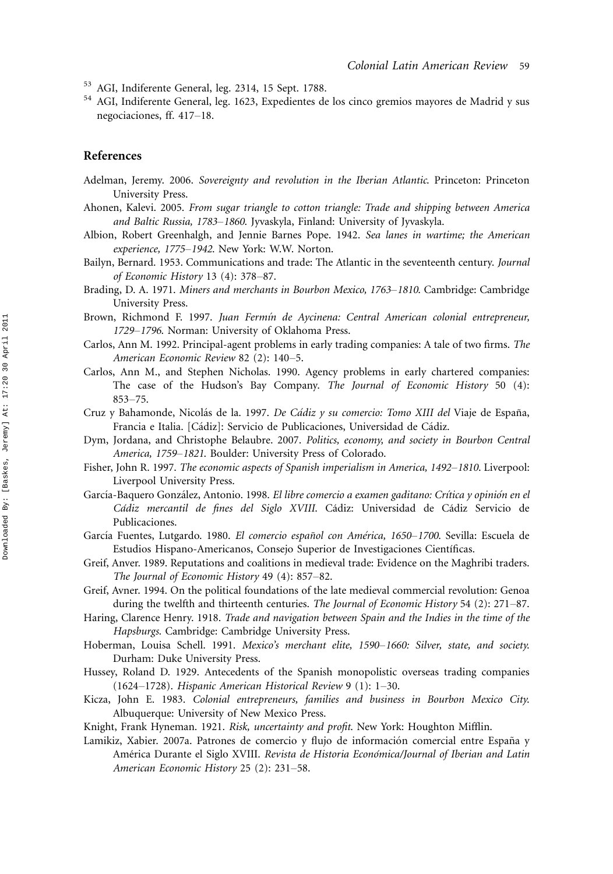- 
- <sup>53</sup> AGI, Indiferente General, leg. 2314, 15 Sept. 1788.<br><sup>54</sup> AGI, Indiferente General, leg. 1623, Expedientes de los cinco gremios mayores de Madrid y sus negociaciones, ff. 417-18.

#### References

- Adelman, Jeremy. 2006. Sovereignty and revolution in the Iberian Atlantic. Princeton: Princeton University Press.
- Ahonen, Kalevi. 2005. From sugar triangle to cotton triangle: Trade and shipping between America and Baltic Russia, 1783-1860. Jyvaskyla, Finland: University of Jyvaskyla.
- Albion, Robert Greenhalgh, and Jennie Barnes Pope. 1942. Sea lanes in wartime; the American experience, 1775-1942. New York: W.W. Norton.
- Bailyn, Bernard. 1953. Communications and trade: The Atlantic in the seventeenth century. Journal of Economic History 13  $(4)$ : 378-87.
- Brading, D. A. 1971. Miners and merchants in Bourbon Mexico, 1763–1810. Cambridge: Cambridge University Press.
- Brown, Richmond F. 1997. Juan Fermín de Aycinena: Central American colonial entrepreneur, 1729-1796. Norman: University of Oklahoma Press.
- Carlos, Ann M. 1992. Principal-agent problems in early trading companies: A tale of two firms. The American Economic Review 82 (2): 140-5.
- Carlos, Ann M., and Stephen Nicholas. 1990. Agency problems in early chartered companies: The case of the Hudson's Bay Company. The Journal of Economic History 50 (4):  $853 - 75.$
- Cruz y Bahamonde, Nicolás de la. 1997. De Cádiz y su comercio: Tomo XIII del Viaje de España, Francia e Italia. [Cádiz]: Servicio de Publicaciones, Universidad de Cádiz.
- Dym, Jordana, and Christophe Belaubre. 2007. Politics, economy, and society in Bourbon Central America, 1759–1821. Boulder: University Press of Colorado.
- Fisher, John R. 1997. The economic aspects of Spanish imperialism in America, 1492–1810. Liverpool: Liverpool University Press.
- García-Baquero González, Antonio. 1998. El libre comercio a examen gaditano: Crítica y opinión en el Cádiz mercantil de fines del Siglo XVIII. Cádiz: Universidad de Cádiz Servicio de Publicaciones.
- García Fuentes, Lutgardo. 1980. El comercio español con América, 1650-1700. Sevilla: Escuela de Estudios Hispano-Americanos, Consejo Superior de Investigaciones Científicas.
- Greif, Anver. 1989. Reputations and coalitions in medieval trade: Evidence on the Maghribi traders. The Journal of Economic History 49  $(4)$ : 857-82.
- Greif, Avner. 1994. On the political foundations of the late medieval commercial revolution: Genoa during the twelfth and thirteenth centuries. The Journal of Economic History 54 (2):  $271-87$ .
- Haring, Clarence Henry. 1918. Trade and navigation between Spain and the Indies in the time of the Hapsburgs. Cambridge: Cambridge University Press.
- Hoberman, Louisa Schell. 1991. Mexico's merchant elite, 1590-1660: Silver, state, and society. Durham: Duke University Press.
- Hussey, Roland D. 1929. Antecedents of the Spanish monopolistic overseas trading companies (1624–1728). Hispanic American Historical Review 9 (1):  $1-30$ .
- Kicza, John E. 1983. Colonial entrepreneurs, families and business in Bourbon Mexico City. Albuquerque: University of New Mexico Press.
- Knight, Frank Hyneman. 1921. Risk, uncertainty and profit. New York: Houghton Mifflin.
- Lamikiz, Xabier. 2007a. Patrones de comercio y flujo de información comercial entre España y América Durante el Siglo XVIII. Revista de Historia Económica/Journal of Iberian and Latin American Economic History 25 (2): 231-58.